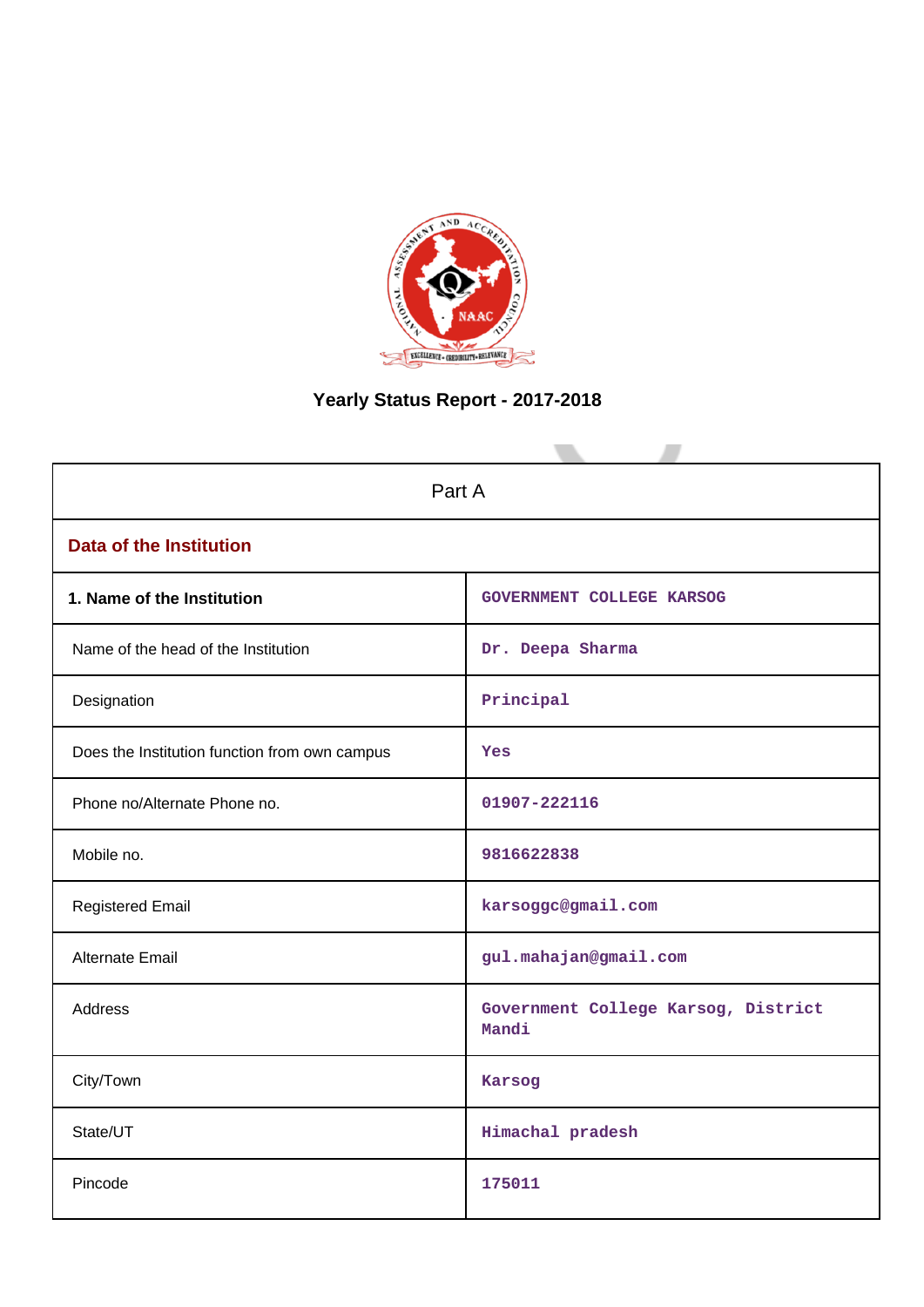

# **Yearly Status Report - 2017-2018**

| Part A                                        |                                              |  |  |
|-----------------------------------------------|----------------------------------------------|--|--|
| <b>Data of the Institution</b>                |                                              |  |  |
| 1. Name of the Institution                    | GOVERNMENT COLLEGE KARSOG                    |  |  |
| Name of the head of the Institution           | Dr. Deepa Sharma                             |  |  |
| Designation                                   | Principal                                    |  |  |
| Does the Institution function from own campus | Yes                                          |  |  |
| Phone no/Alternate Phone no.                  | 01907-222116                                 |  |  |
| Mobile no.                                    | 9816622838                                   |  |  |
| <b>Registered Email</b>                       | karsoggc@gmail.com                           |  |  |
| <b>Alternate Email</b>                        | gul.mahajan@gmail.com                        |  |  |
| Address                                       | Government College Karsog, District<br>Mandi |  |  |
| City/Town                                     | Karsog                                       |  |  |
| State/UT                                      | Himachal pradesh                             |  |  |
| Pincode                                       | 175011                                       |  |  |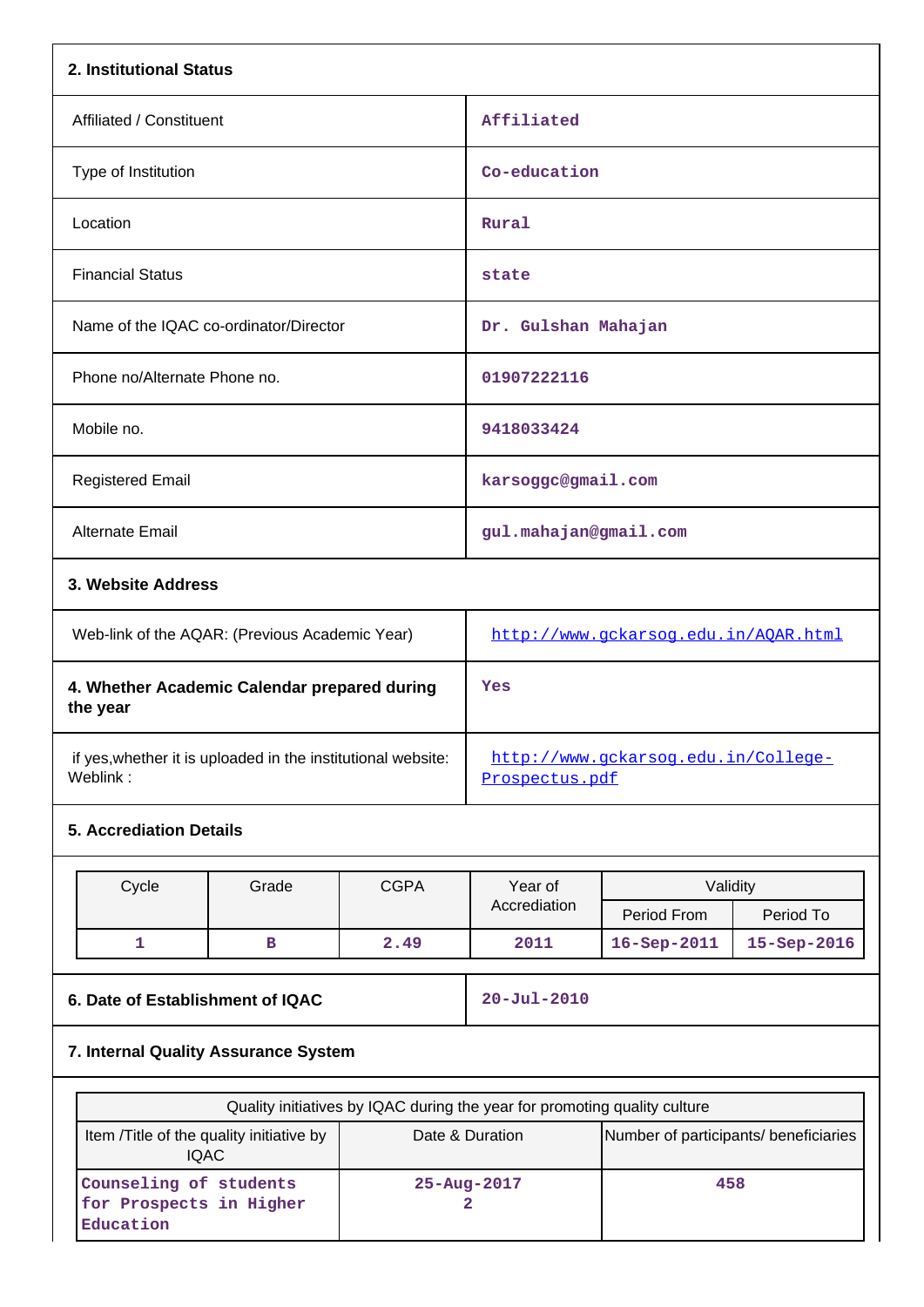|                                                                          | 2. Institutional Status          |             |                                                                           |                                       |             |
|--------------------------------------------------------------------------|----------------------------------|-------------|---------------------------------------------------------------------------|---------------------------------------|-------------|
| Affiliated / Constituent                                                 |                                  |             | Affiliated                                                                |                                       |             |
| Type of Institution                                                      |                                  |             | Co-education                                                              |                                       |             |
| Location                                                                 |                                  |             | Rural                                                                     |                                       |             |
| <b>Financial Status</b>                                                  |                                  |             | state                                                                     |                                       |             |
| Name of the IQAC co-ordinator/Director                                   |                                  |             | Dr. Gulshan Mahajan                                                       |                                       |             |
| Phone no/Alternate Phone no.                                             |                                  |             | 01907222116                                                               |                                       |             |
| Mobile no.                                                               |                                  |             | 9418033424                                                                |                                       |             |
| <b>Registered Email</b>                                                  |                                  |             | karsoggc@gmail.com                                                        |                                       |             |
| <b>Alternate Email</b>                                                   |                                  |             | gul.mahajan@gmail.com                                                     |                                       |             |
|                                                                          | 3. Website Address               |             |                                                                           |                                       |             |
| Web-link of the AQAR: (Previous Academic Year)                           |                                  |             | http://www.gckarsog.edu.in/AOAR.html                                      |                                       |             |
| 4. Whether Academic Calendar prepared during<br>the year                 |                                  |             | Yes                                                                       |                                       |             |
| if yes, whether it is uploaded in the institutional website:<br>Weblink: |                                  |             | http://www.gckarsog.edu.in/College-<br>Prospectus.pdf                     |                                       |             |
| <b>5. Accrediation Details</b>                                           |                                  |             |                                                                           |                                       |             |
| Cycle                                                                    | Grade                            | <b>CGPA</b> | Year of                                                                   | Validity                              |             |
|                                                                          |                                  |             | Accrediation                                                              | Period From                           | Period To   |
| $\mathbf{1}$                                                             | $\mathbf B$                      | 2.49        | 2011                                                                      | 16-Sep-2011                           | 15-Sep-2016 |
|                                                                          | 6. Date of Establishment of IQAC |             | $20 - Ju1 - 2010$                                                         |                                       |             |
| 7. Internal Quality Assurance System                                     |                                  |             |                                                                           |                                       |             |
|                                                                          |                                  |             | Quality initiatives by IQAC during the year for promoting quality culture |                                       |             |
| Item /Title of the quality initiative by<br><b>IQAC</b>                  |                                  |             | Date & Duration                                                           | Number of participants/ beneficiaries |             |
| Counseling of students                                                   |                                  |             | 25-Aug-2017<br>458                                                        |                                       |             |

**2**

**for Prospects in Higher**

**Education**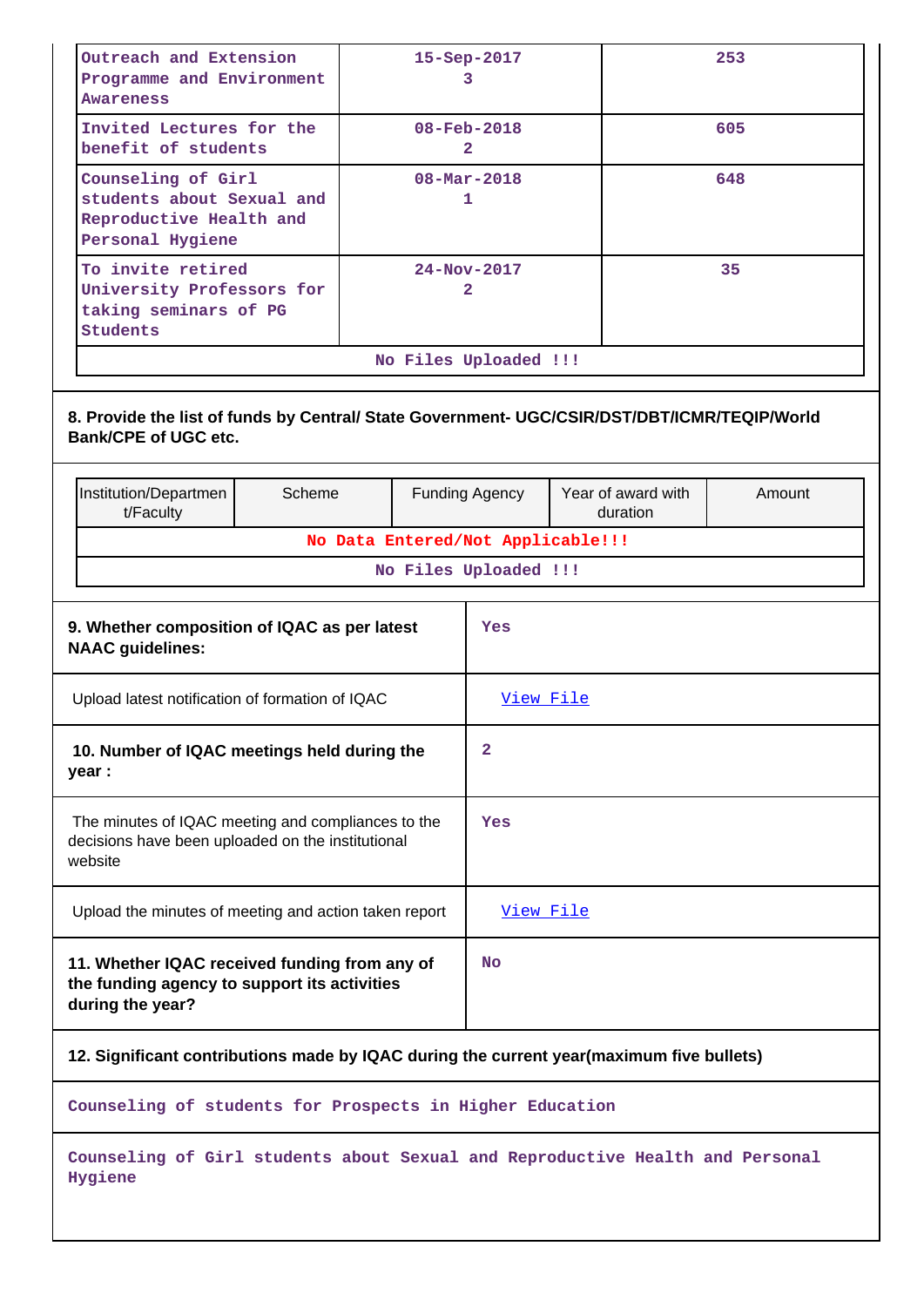| Outreach and Extension<br>Programme and Environment<br><b>Awareness</b><br>Invited Lectures for the<br>benefit of students<br>Counseling of Girl<br>students about Sexual and<br>Reproductive Health and<br>Personal Hygiene<br>To invite retired<br>University Professors for<br>taking seminars of PG<br><b>Students</b> |                          | 15-Sep-2017<br>3<br>$08 - \text{Feb} - 2018$<br>$\overline{2}$<br>$08 - \text{Mar} - 2018$<br>1<br>$24 - Nov - 2017$<br>$\mathbf{2}$ |                       |  |                                | 253<br>605<br>648<br>35 |
|----------------------------------------------------------------------------------------------------------------------------------------------------------------------------------------------------------------------------------------------------------------------------------------------------------------------------|--------------------------|--------------------------------------------------------------------------------------------------------------------------------------|-----------------------|--|--------------------------------|-------------------------|
|                                                                                                                                                                                                                                                                                                                            |                          |                                                                                                                                      | No Files Uploaded !!! |  |                                |                         |
| 8. Provide the list of funds by Central/ State Government- UGC/CSIR/DST/DBT/ICMR/TEQIP/World<br>Bank/CPE of UGC etc.                                                                                                                                                                                                       |                          |                                                                                                                                      |                       |  |                                |                         |
| Institution/Departmen<br>t/Faculty                                                                                                                                                                                                                                                                                         | Scheme<br>Funding Agency |                                                                                                                                      |                       |  | Year of award with<br>duration | Amount                  |
| No Data Entered/Not Applicable!!!                                                                                                                                                                                                                                                                                          |                          |                                                                                                                                      |                       |  |                                |                         |
|                                                                                                                                                                                                                                                                                                                            | No Files Uploaded !!!    |                                                                                                                                      |                       |  |                                |                         |
| 9. Whether composition of IQAC as per latest<br>Yes<br><b>NAAC guidelines:</b>                                                                                                                                                                                                                                             |                          |                                                                                                                                      |                       |  |                                |                         |
| Upload latest notification of formation of IQAC                                                                                                                                                                                                                                                                            |                          |                                                                                                                                      | View File             |  |                                |                         |
| 10. Number of IQAC meetings held during the<br>year :                                                                                                                                                                                                                                                                      |                          |                                                                                                                                      | 2                     |  |                                |                         |
| The minutes of IQAC meeting and compliances to the<br>decisions have been uploaded on the institutional<br>website                                                                                                                                                                                                         |                          |                                                                                                                                      | Yes                   |  |                                |                         |
| Upload the minutes of meeting and action taken report                                                                                                                                                                                                                                                                      |                          |                                                                                                                                      | View File             |  |                                |                         |
| 11. Whether IQAC received funding from any of<br>the funding agency to support its activities<br>during the year?                                                                                                                                                                                                          |                          |                                                                                                                                      | No                    |  |                                |                         |
| 12. Significant contributions made by IQAC during the current year(maximum five bullets)                                                                                                                                                                                                                                   |                          |                                                                                                                                      |                       |  |                                |                         |
| Counseling of students for Prospects in Higher Education                                                                                                                                                                                                                                                                   |                          |                                                                                                                                      |                       |  |                                |                         |

**Counseling of Girl students about Sexual and Reproductive Health and Personal Hygiene**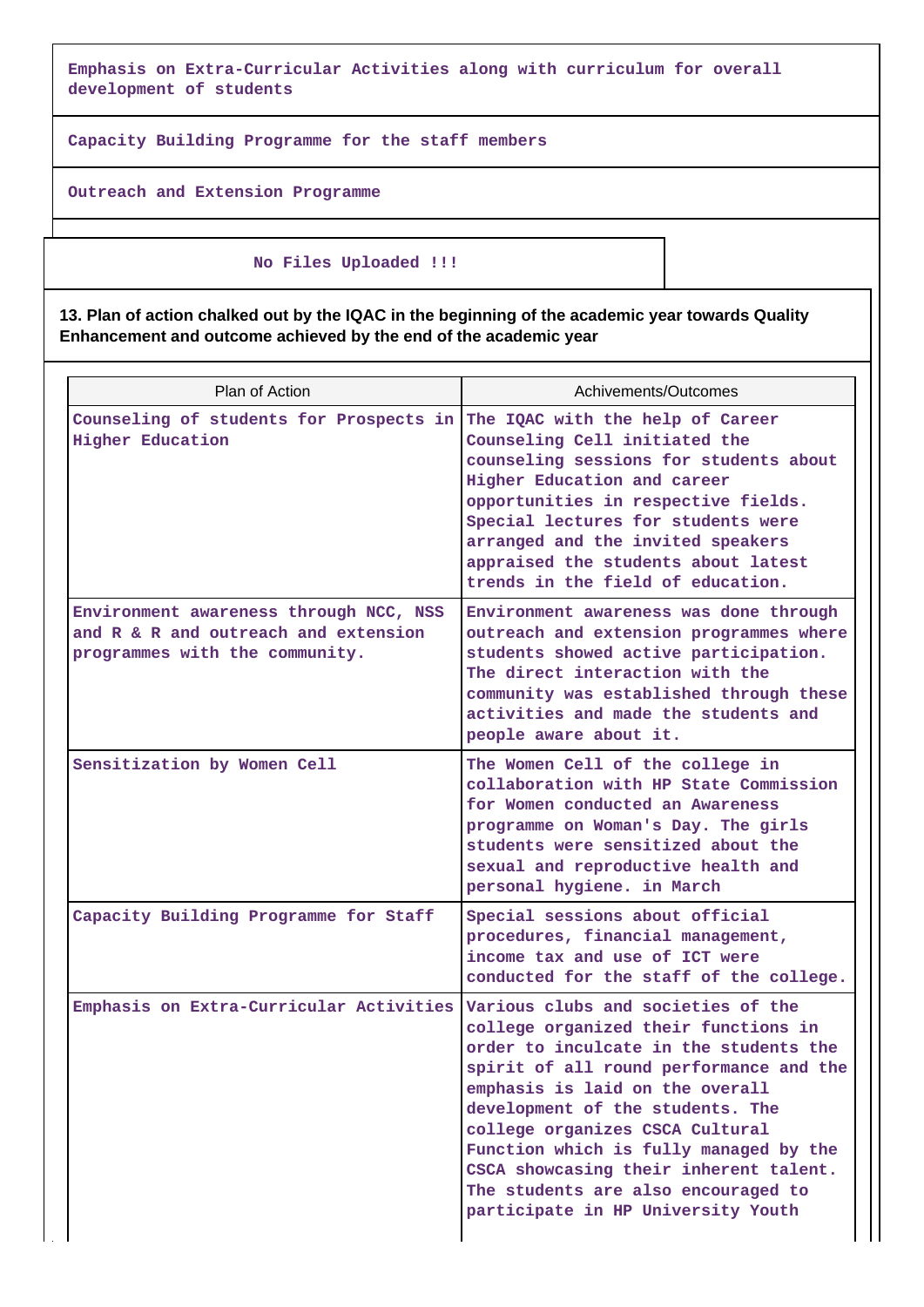**Emphasis on Extra-Curricular Activities along with curriculum for overall development of students**

**Capacity Building Programme for the staff members**

**Outreach and Extension Programme**

# **No Files Uploaded !!!**

**13. Plan of action chalked out by the IQAC in the beginning of the academic year towards Quality Enhancement and outcome achieved by the end of the academic year**

| Plan of Action                                                                                                   | Achivements/Outcomes                                                                                                                                                                                                                                                                                                                                                                                                                       |
|------------------------------------------------------------------------------------------------------------------|--------------------------------------------------------------------------------------------------------------------------------------------------------------------------------------------------------------------------------------------------------------------------------------------------------------------------------------------------------------------------------------------------------------------------------------------|
| Counseling of students for Prospects in<br><b>Higher Education</b>                                               | The IQAC with the help of Career<br>Counseling Cell initiated the<br>counseling sessions for students about<br>Higher Education and career<br>opportunities in respective fields.<br>Special lectures for students were<br>arranged and the invited speakers<br>appraised the students about latest<br>trends in the field of education.                                                                                                   |
| Environment awareness through NCC, NSS<br>and R & R and outreach and extension<br>programmes with the community. | Environment awareness was done through<br>outreach and extension programmes where<br>students showed active participation.<br>The direct interaction with the<br>community was established through these<br>activities and made the students and<br>people aware about it.                                                                                                                                                                 |
| Sensitization by Women Cell                                                                                      | The Women Cell of the college in<br>collaboration with HP State Commission<br>for Women conducted an Awareness<br>programme on Woman's Day. The girls<br>students were sensitized about the<br>sexual and reproductive health and<br>personal hygiene. in March                                                                                                                                                                            |
| Capacity Building Programme for Staff                                                                            | Special sessions about official<br>procedures, financial management,<br>income tax and use of ICT were<br>conducted for the staff of the college.                                                                                                                                                                                                                                                                                          |
| Emphasis on Extra-Curricular Activities                                                                          | Various clubs and societies of the<br>college organized their functions in<br>order to inculcate in the students the<br>spirit of all round performance and the<br>emphasis is laid on the overall<br>development of the students. The<br>college organizes CSCA Cultural<br>Function which is fully managed by the<br>CSCA showcasing their inherent talent.<br>The students are also encouraged to<br>participate in HP University Youth |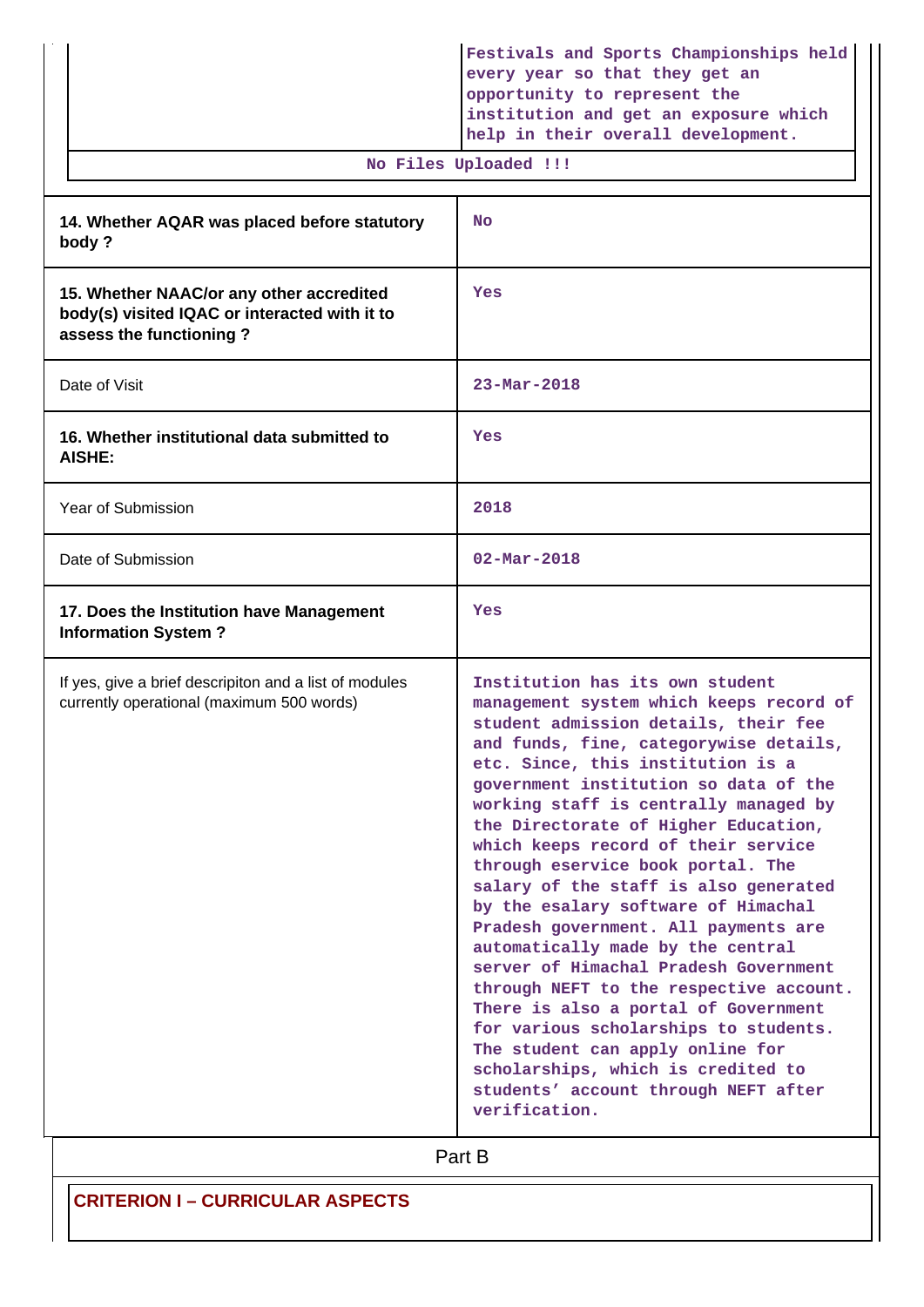|                                                                                                                      | Festivals and Sports Championships held<br>every year so that they get an<br>opportunity to represent the<br>institution and get an exposure which<br>help in their overall development.<br>No Files Uploaded !!!                                                                                                                                                                                                                                                                                                                                                                                                                                                                                                                                                                                                                                                            |
|----------------------------------------------------------------------------------------------------------------------|------------------------------------------------------------------------------------------------------------------------------------------------------------------------------------------------------------------------------------------------------------------------------------------------------------------------------------------------------------------------------------------------------------------------------------------------------------------------------------------------------------------------------------------------------------------------------------------------------------------------------------------------------------------------------------------------------------------------------------------------------------------------------------------------------------------------------------------------------------------------------|
|                                                                                                                      |                                                                                                                                                                                                                                                                                                                                                                                                                                                                                                                                                                                                                                                                                                                                                                                                                                                                              |
| 14. Whether AQAR was placed before statutory<br>body?                                                                | <b>No</b>                                                                                                                                                                                                                                                                                                                                                                                                                                                                                                                                                                                                                                                                                                                                                                                                                                                                    |
| 15. Whether NAAC/or any other accredited<br>body(s) visited IQAC or interacted with it to<br>assess the functioning? | Yes                                                                                                                                                                                                                                                                                                                                                                                                                                                                                                                                                                                                                                                                                                                                                                                                                                                                          |
| Date of Visit                                                                                                        | 23-Mar-2018                                                                                                                                                                                                                                                                                                                                                                                                                                                                                                                                                                                                                                                                                                                                                                                                                                                                  |
| 16. Whether institutional data submitted to<br>AISHE:                                                                | Yes                                                                                                                                                                                                                                                                                                                                                                                                                                                                                                                                                                                                                                                                                                                                                                                                                                                                          |
| <b>Year of Submission</b>                                                                                            | 2018                                                                                                                                                                                                                                                                                                                                                                                                                                                                                                                                                                                                                                                                                                                                                                                                                                                                         |
| Date of Submission                                                                                                   | $02 - \text{Mar} - 2018$                                                                                                                                                                                                                                                                                                                                                                                                                                                                                                                                                                                                                                                                                                                                                                                                                                                     |
| 17. Does the Institution have Management<br><b>Information System?</b>                                               | Yes                                                                                                                                                                                                                                                                                                                                                                                                                                                                                                                                                                                                                                                                                                                                                                                                                                                                          |
| If yes, give a brief descripiton and a list of modules<br>currently operational (maximum 500 words)                  | Institution has its own student<br>management system which keeps record of<br>student admission details, their fee<br>and funds, fine, categorywise details,<br>etc. Since, this institution is a<br>government institution so data of the<br>working staff is centrally managed by<br>the Directorate of Higher Education,<br>which keeps record of their service<br>through eservice book portal. The<br>salary of the staff is also generated<br>by the esalary software of Himachal<br>Pradesh government. All payments are<br>automatically made by the central<br>server of Himachal Pradesh Government<br>through NEFT to the respective account.<br>There is also a portal of Government<br>for various scholarships to students.<br>The student can apply online for<br>scholarships, which is credited to<br>students' account through NEFT after<br>verification. |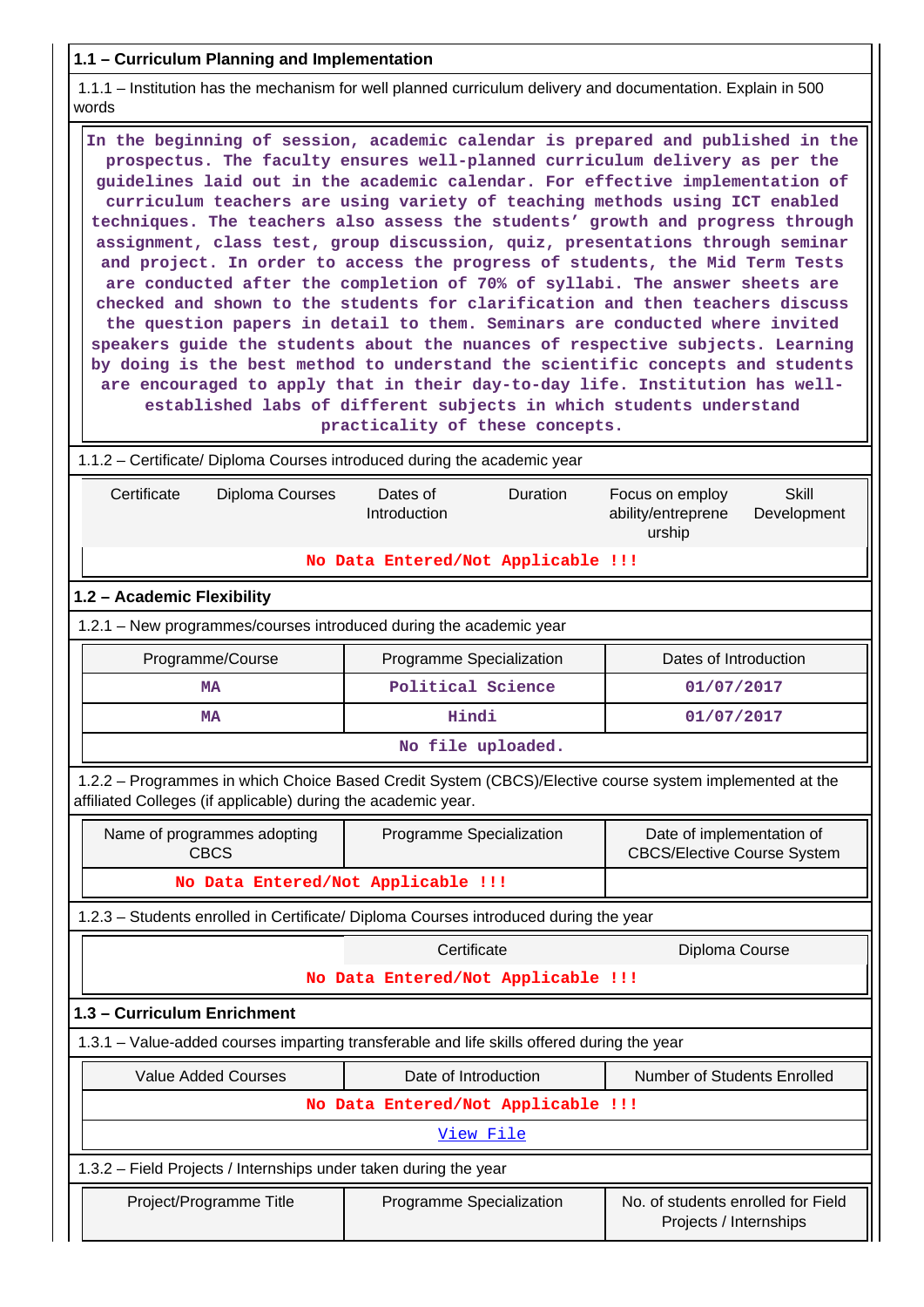# **1.1 – Curriculum Planning and Implementation**

 1.1.1 – Institution has the mechanism for well planned curriculum delivery and documentation. Explain in 500 words

| In the beginning of session, academic calendar is prepared and published in the<br>prospectus. The faculty ensures well-planned curriculum delivery as per the<br>guidelines laid out in the academic calendar. For effective implementation of<br>curriculum teachers are using variety of teaching methods using ICT enabled<br>techniques. The teachers also assess the students' growth and progress through<br>assignment, class test, group discussion, quiz, presentations through seminar<br>and project. In order to access the progress of students, the Mid Term Tests<br>are conducted after the completion of 70% of syllabi. The answer sheets are<br>checked and shown to the students for clarification and then teachers discuss<br>the question papers in detail to them. Seminars are conducted where invited<br>speakers guide the students about the nuances of respective subjects. Learning<br>by doing is the best method to understand the scientific concepts and students<br>are encouraged to apply that in their day-to-day life. Institution has well-<br>established labs of different subjects in which students understand<br>practicality of these concepts. |                                                                                                                        |                                                                 |  |  |  |  |  |
|------------------------------------------------------------------------------------------------------------------------------------------------------------------------------------------------------------------------------------------------------------------------------------------------------------------------------------------------------------------------------------------------------------------------------------------------------------------------------------------------------------------------------------------------------------------------------------------------------------------------------------------------------------------------------------------------------------------------------------------------------------------------------------------------------------------------------------------------------------------------------------------------------------------------------------------------------------------------------------------------------------------------------------------------------------------------------------------------------------------------------------------------------------------------------------------------|------------------------------------------------------------------------------------------------------------------------|-----------------------------------------------------------------|--|--|--|--|--|
| 1.1.2 – Certificate/ Diploma Courses introduced during the academic year                                                                                                                                                                                                                                                                                                                                                                                                                                                                                                                                                                                                                                                                                                                                                                                                                                                                                                                                                                                                                                                                                                                       |                                                                                                                        |                                                                 |  |  |  |  |  |
| Certificate<br>Diploma Courses                                                                                                                                                                                                                                                                                                                                                                                                                                                                                                                                                                                                                                                                                                                                                                                                                                                                                                                                                                                                                                                                                                                                                                 | <b>Skill</b><br>Dates of<br>Duration<br>Focus on employ<br>Introduction<br>ability/entreprene<br>Development<br>urship |                                                                 |  |  |  |  |  |
|                                                                                                                                                                                                                                                                                                                                                                                                                                                                                                                                                                                                                                                                                                                                                                                                                                                                                                                                                                                                                                                                                                                                                                                                | No Data Entered/Not Applicable !!!                                                                                     |                                                                 |  |  |  |  |  |
| 1.2 - Academic Flexibility                                                                                                                                                                                                                                                                                                                                                                                                                                                                                                                                                                                                                                                                                                                                                                                                                                                                                                                                                                                                                                                                                                                                                                     |                                                                                                                        |                                                                 |  |  |  |  |  |
| 1.2.1 – New programmes/courses introduced during the academic year                                                                                                                                                                                                                                                                                                                                                                                                                                                                                                                                                                                                                                                                                                                                                                                                                                                                                                                                                                                                                                                                                                                             |                                                                                                                        |                                                                 |  |  |  |  |  |
| Programme/Course                                                                                                                                                                                                                                                                                                                                                                                                                                                                                                                                                                                                                                                                                                                                                                                                                                                                                                                                                                                                                                                                                                                                                                               | Programme Specialization                                                                                               | Dates of Introduction                                           |  |  |  |  |  |
| <b>MA</b>                                                                                                                                                                                                                                                                                                                                                                                                                                                                                                                                                                                                                                                                                                                                                                                                                                                                                                                                                                                                                                                                                                                                                                                      | Political Science                                                                                                      | 01/07/2017                                                      |  |  |  |  |  |
| <b>MA</b>                                                                                                                                                                                                                                                                                                                                                                                                                                                                                                                                                                                                                                                                                                                                                                                                                                                                                                                                                                                                                                                                                                                                                                                      | Hindi                                                                                                                  | 01/07/2017                                                      |  |  |  |  |  |
|                                                                                                                                                                                                                                                                                                                                                                                                                                                                                                                                                                                                                                                                                                                                                                                                                                                                                                                                                                                                                                                                                                                                                                                                | No file uploaded.                                                                                                      |                                                                 |  |  |  |  |  |
| 1.2.2 - Programmes in which Choice Based Credit System (CBCS)/Elective course system implemented at the<br>affiliated Colleges (if applicable) during the academic year.                                                                                                                                                                                                                                                                                                                                                                                                                                                                                                                                                                                                                                                                                                                                                                                                                                                                                                                                                                                                                       |                                                                                                                        |                                                                 |  |  |  |  |  |
| Name of programmes adopting<br><b>CBCS</b>                                                                                                                                                                                                                                                                                                                                                                                                                                                                                                                                                                                                                                                                                                                                                                                                                                                                                                                                                                                                                                                                                                                                                     | Programme Specialization                                                                                               | Date of implementation of<br><b>CBCS/Elective Course System</b> |  |  |  |  |  |
| No Data Entered/Not Applicable !!!                                                                                                                                                                                                                                                                                                                                                                                                                                                                                                                                                                                                                                                                                                                                                                                                                                                                                                                                                                                                                                                                                                                                                             |                                                                                                                        |                                                                 |  |  |  |  |  |
| 1.2.3 - Students enrolled in Certificate/ Diploma Courses introduced during the year                                                                                                                                                                                                                                                                                                                                                                                                                                                                                                                                                                                                                                                                                                                                                                                                                                                                                                                                                                                                                                                                                                           |                                                                                                                        |                                                                 |  |  |  |  |  |
|                                                                                                                                                                                                                                                                                                                                                                                                                                                                                                                                                                                                                                                                                                                                                                                                                                                                                                                                                                                                                                                                                                                                                                                                | Certificate                                                                                                            | Diploma Course                                                  |  |  |  |  |  |
|                                                                                                                                                                                                                                                                                                                                                                                                                                                                                                                                                                                                                                                                                                                                                                                                                                                                                                                                                                                                                                                                                                                                                                                                | No Data Entered/Not Applicable !!!                                                                                     |                                                                 |  |  |  |  |  |
| 1.3 - Curriculum Enrichment                                                                                                                                                                                                                                                                                                                                                                                                                                                                                                                                                                                                                                                                                                                                                                                                                                                                                                                                                                                                                                                                                                                                                                    |                                                                                                                        |                                                                 |  |  |  |  |  |
| 1.3.1 - Value-added courses imparting transferable and life skills offered during the year                                                                                                                                                                                                                                                                                                                                                                                                                                                                                                                                                                                                                                                                                                                                                                                                                                                                                                                                                                                                                                                                                                     |                                                                                                                        |                                                                 |  |  |  |  |  |
| <b>Value Added Courses</b>                                                                                                                                                                                                                                                                                                                                                                                                                                                                                                                                                                                                                                                                                                                                                                                                                                                                                                                                                                                                                                                                                                                                                                     | Date of Introduction                                                                                                   | Number of Students Enrolled                                     |  |  |  |  |  |
|                                                                                                                                                                                                                                                                                                                                                                                                                                                                                                                                                                                                                                                                                                                                                                                                                                                                                                                                                                                                                                                                                                                                                                                                | No Data Entered/Not Applicable !!!                                                                                     |                                                                 |  |  |  |  |  |
| View File                                                                                                                                                                                                                                                                                                                                                                                                                                                                                                                                                                                                                                                                                                                                                                                                                                                                                                                                                                                                                                                                                                                                                                                      |                                                                                                                        |                                                                 |  |  |  |  |  |
| 1.3.2 - Field Projects / Internships under taken during the year                                                                                                                                                                                                                                                                                                                                                                                                                                                                                                                                                                                                                                                                                                                                                                                                                                                                                                                                                                                                                                                                                                                               |                                                                                                                        |                                                                 |  |  |  |  |  |
| Project/Programme Title                                                                                                                                                                                                                                                                                                                                                                                                                                                                                                                                                                                                                                                                                                                                                                                                                                                                                                                                                                                                                                                                                                                                                                        | Programme Specialization                                                                                               | No. of students enrolled for Field<br>Projects / Internships    |  |  |  |  |  |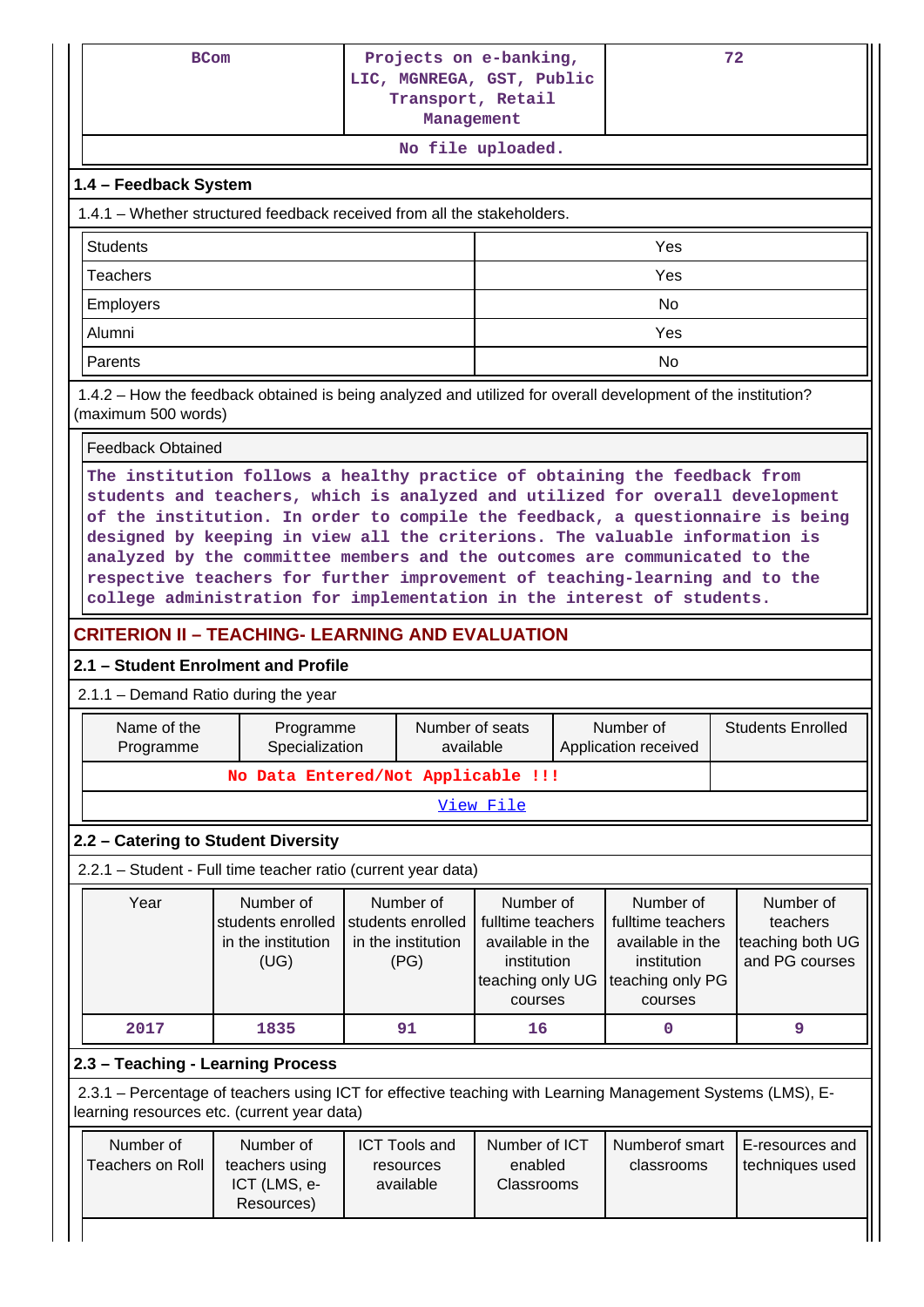|                                                                                                                                                                                                                                                                                                                                              | Projects on e-banking,<br><b>BCom</b><br>LIC, MGNREGA, GST, Public<br>Transport, Retail<br>Management<br>No file uploaded.                                                                                                                                                                                                                                                                                                                                                                                                                                                                                                    |                                                           |  |                                                             | 72                                     |  |                                   |  |                                    |
|----------------------------------------------------------------------------------------------------------------------------------------------------------------------------------------------------------------------------------------------------------------------------------------------------------------------------------------------|-------------------------------------------------------------------------------------------------------------------------------------------------------------------------------------------------------------------------------------------------------------------------------------------------------------------------------------------------------------------------------------------------------------------------------------------------------------------------------------------------------------------------------------------------------------------------------------------------------------------------------|-----------------------------------------------------------|--|-------------------------------------------------------------|----------------------------------------|--|-----------------------------------|--|------------------------------------|
|                                                                                                                                                                                                                                                                                                                                              | 1.4 - Feedback System                                                                                                                                                                                                                                                                                                                                                                                                                                                                                                                                                                                                         |                                                           |  |                                                             |                                        |  |                                   |  |                                    |
|                                                                                                                                                                                                                                                                                                                                              | 1.4.1 – Whether structured feedback received from all the stakeholders.                                                                                                                                                                                                                                                                                                                                                                                                                                                                                                                                                       |                                                           |  |                                                             |                                        |  |                                   |  |                                    |
|                                                                                                                                                                                                                                                                                                                                              | <b>Students</b>                                                                                                                                                                                                                                                                                                                                                                                                                                                                                                                                                                                                               |                                                           |  |                                                             |                                        |  | Yes                               |  |                                    |
|                                                                                                                                                                                                                                                                                                                                              | <b>Teachers</b>                                                                                                                                                                                                                                                                                                                                                                                                                                                                                                                                                                                                               |                                                           |  |                                                             |                                        |  | Yes                               |  |                                    |
|                                                                                                                                                                                                                                                                                                                                              | <b>Employers</b>                                                                                                                                                                                                                                                                                                                                                                                                                                                                                                                                                                                                              |                                                           |  |                                                             |                                        |  | <b>No</b>                         |  |                                    |
|                                                                                                                                                                                                                                                                                                                                              | Alumni                                                                                                                                                                                                                                                                                                                                                                                                                                                                                                                                                                                                                        |                                                           |  |                                                             |                                        |  | Yes                               |  |                                    |
|                                                                                                                                                                                                                                                                                                                                              | Parents                                                                                                                                                                                                                                                                                                                                                                                                                                                                                                                                                                                                                       |                                                           |  |                                                             |                                        |  | <b>No</b>                         |  |                                    |
|                                                                                                                                                                                                                                                                                                                                              | 1.4.2 – How the feedback obtained is being analyzed and utilized for overall development of the institution?<br>(maximum 500 words)                                                                                                                                                                                                                                                                                                                                                                                                                                                                                           |                                                           |  |                                                             |                                        |  |                                   |  |                                    |
|                                                                                                                                                                                                                                                                                                                                              | <b>Feedback Obtained</b>                                                                                                                                                                                                                                                                                                                                                                                                                                                                                                                                                                                                      |                                                           |  |                                                             |                                        |  |                                   |  |                                    |
|                                                                                                                                                                                                                                                                                                                                              | The institution follows a healthy practice of obtaining the feedback from<br>students and teachers, which is analyzed and utilized for overall development<br>of the institution. In order to compile the feedback, a questionnaire is being<br>designed by keeping in view all the criterions. The valuable information is<br>analyzed by the committee members and the outcomes are communicated to the<br>respective teachers for further improvement of teaching-learning and to the<br>college administration for implementation in the interest of students.<br><b>CRITERION II – TEACHING- LEARNING AND EVALUATION</b> |                                                           |  |                                                             |                                        |  |                                   |  |                                    |
|                                                                                                                                                                                                                                                                                                                                              | 2.1 – Student Enrolment and Profile                                                                                                                                                                                                                                                                                                                                                                                                                                                                                                                                                                                           |                                                           |  |                                                             |                                        |  |                                   |  |                                    |
|                                                                                                                                                                                                                                                                                                                                              | 2.1.1 – Demand Ratio during the year                                                                                                                                                                                                                                                                                                                                                                                                                                                                                                                                                                                          |                                                           |  |                                                             |                                        |  |                                   |  |                                    |
|                                                                                                                                                                                                                                                                                                                                              | Name of the<br>Programme                                                                                                                                                                                                                                                                                                                                                                                                                                                                                                                                                                                                      | Programme<br>Specialization                               |  | Number of seats<br>available                                |                                        |  | Number of<br>Application received |  | <b>Students Enrolled</b>           |
|                                                                                                                                                                                                                                                                                                                                              |                                                                                                                                                                                                                                                                                                                                                                                                                                                                                                                                                                                                                               | No Data Entered/Not Applicable !!!                        |  |                                                             |                                        |  |                                   |  |                                    |
|                                                                                                                                                                                                                                                                                                                                              |                                                                                                                                                                                                                                                                                                                                                                                                                                                                                                                                                                                                                               |                                                           |  |                                                             | View File                              |  |                                   |  |                                    |
|                                                                                                                                                                                                                                                                                                                                              | 2.2 - Catering to Student Diversity                                                                                                                                                                                                                                                                                                                                                                                                                                                                                                                                                                                           |                                                           |  |                                                             |                                        |  |                                   |  |                                    |
|                                                                                                                                                                                                                                                                                                                                              | 2.2.1 - Student - Full time teacher ratio (current year data)                                                                                                                                                                                                                                                                                                                                                                                                                                                                                                                                                                 |                                                           |  |                                                             |                                        |  |                                   |  |                                    |
| Year<br>Number of<br>Number of<br>Number of<br>Number of<br>students enrolled<br>fulltime teachers<br>students enrolled<br>fulltime teachers<br>in the institution<br>in the institution<br>available in the<br>available in the<br>(UG)<br>(PG)<br>institution<br>institution<br>teaching only UG<br>teaching only PG<br>courses<br>courses |                                                                                                                                                                                                                                                                                                                                                                                                                                                                                                                                                                                                                               |                                                           |  | Number of<br>teachers<br>teaching both UG<br>and PG courses |                                        |  |                                   |  |                                    |
|                                                                                                                                                                                                                                                                                                                                              | 2017                                                                                                                                                                                                                                                                                                                                                                                                                                                                                                                                                                                                                          | 1835                                                      |  | 91                                                          | 16                                     |  | 0                                 |  | 9                                  |
|                                                                                                                                                                                                                                                                                                                                              | 2.3 - Teaching - Learning Process                                                                                                                                                                                                                                                                                                                                                                                                                                                                                                                                                                                             |                                                           |  |                                                             |                                        |  |                                   |  |                                    |
|                                                                                                                                                                                                                                                                                                                                              | 2.3.1 – Percentage of teachers using ICT for effective teaching with Learning Management Systems (LMS), E-<br>learning resources etc. (current year data)                                                                                                                                                                                                                                                                                                                                                                                                                                                                     |                                                           |  |                                                             |                                        |  |                                   |  |                                    |
|                                                                                                                                                                                                                                                                                                                                              | Number of<br><b>Teachers on Roll</b>                                                                                                                                                                                                                                                                                                                                                                                                                                                                                                                                                                                          | Number of<br>teachers using<br>ICT (LMS, e-<br>Resources) |  | <b>ICT Tools and</b><br>resources<br>available              | Number of ICT<br>enabled<br>Classrooms |  | Numberof smart<br>classrooms      |  | E-resources and<br>techniques used |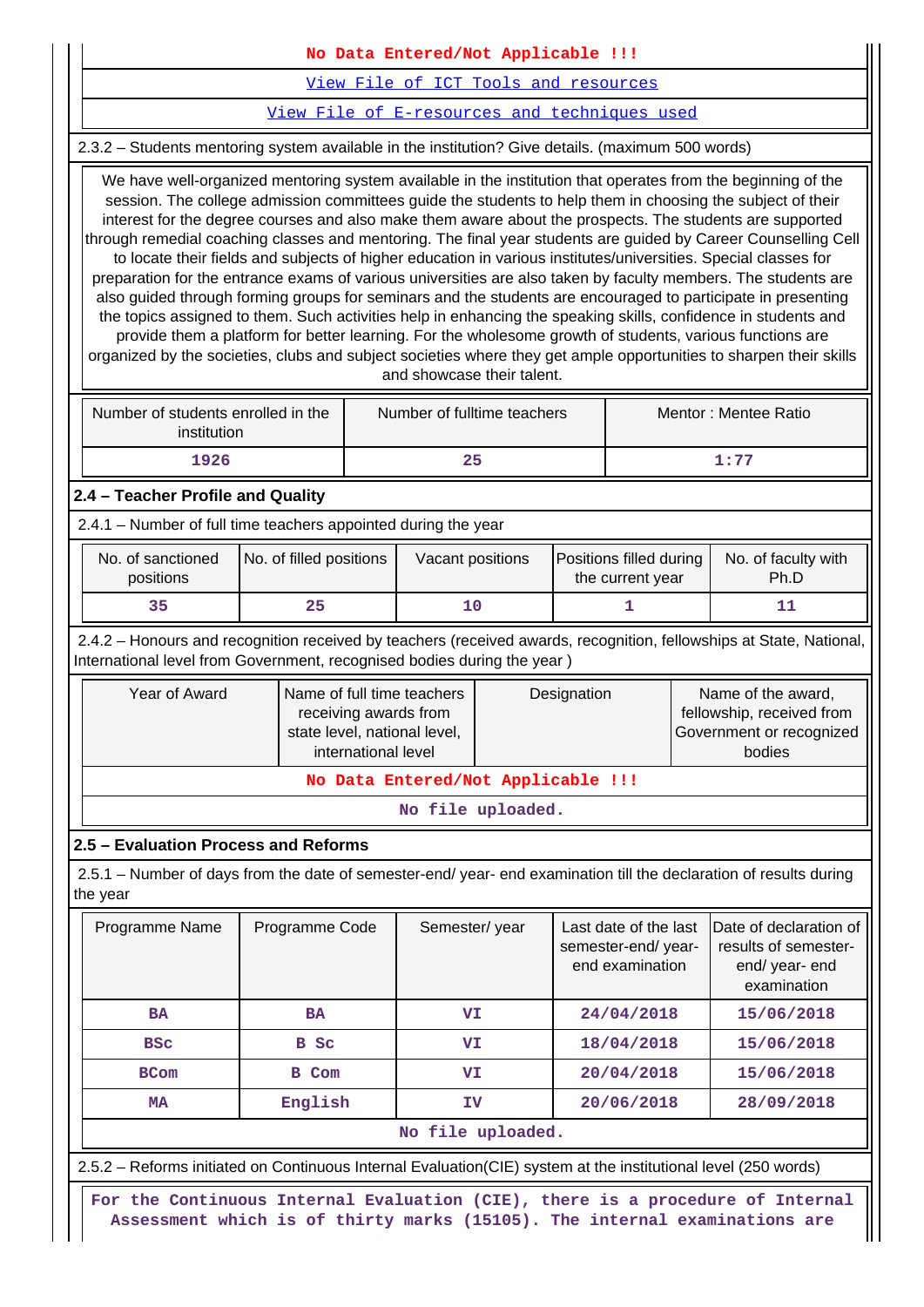#### **No Data Entered/Not Applicable !!!**

[View File of ICT Tools and resources](https://assessmentonline.naac.gov.in/public/Postacc/ict_tools/4930_ict_tools_1584696278.xlsx)

[View File of E-resources and techniques used](https://assessmentonline.naac.gov.in/public/Postacc/e_resource/4930_e_resource_1584441386.xlsx)

2.3.2 – Students mentoring system available in the institution? Give details. (maximum 500 words)

 We have well-organized mentoring system available in the institution that operates from the beginning of the session. The college admission committees guide the students to help them in choosing the subject of their interest for the degree courses and also make them aware about the prospects. The students are supported through remedial coaching classes and mentoring. The final year students are guided by Career Counselling Cell to locate their fields and subjects of higher education in various institutes/universities. Special classes for preparation for the entrance exams of various universities are also taken by faculty members. The students are also guided through forming groups for seminars and the students are encouraged to participate in presenting the topics assigned to them. Such activities help in enhancing the speaking skills, confidence in students and provide them a platform for better learning. For the wholesome growth of students, various functions are organized by the societies, clubs and subject societies where they get ample opportunities to sharpen their skills and showcase their talent.

| Number of students enrolled in the<br>institution | Number of fulltime teachers | Mentor: Mentee Ratio |
|---------------------------------------------------|-----------------------------|----------------------|
| 1926                                              | 25                          | 1:77                 |

#### **2.4 – Teacher Profile and Quality**

2.4.1 – Number of full time teachers appointed during the year

| No. of sanctioned<br>positions | No. of filled positions | Vacant positions | <b>Positions filled during</b><br>the current year | No. of faculty with<br>Ph.D |
|--------------------------------|-------------------------|------------------|----------------------------------------------------|-----------------------------|
|                                |                         |                  |                                                    |                             |

 2.4.2 – Honours and recognition received by teachers (received awards, recognition, fellowships at State, National, International level from Government, recognised bodies during the year )

| Year of Award                      | Name of full time teachers<br>receiving awards from<br>state level, national level,<br>international level | Designation | Name of the award,<br>fellowship, received from<br>Government or recognized<br>bodies |  |  |
|------------------------------------|------------------------------------------------------------------------------------------------------------|-------------|---------------------------------------------------------------------------------------|--|--|
| No Data Entered/Not Applicable !!! |                                                                                                            |             |                                                                                       |  |  |

**No file uploaded.**

#### **2.5 – Evaluation Process and Reforms**

 2.5.1 – Number of days from the date of semester-end/ year- end examination till the declaration of results during the year

| Programme Name | Programme Code | Semester/year     | Last date of the last<br>semester-end/year-<br>end examination | Date of declaration of<br>results of semester-<br>end/year-end<br>examination |
|----------------|----------------|-------------------|----------------------------------------------------------------|-------------------------------------------------------------------------------|
| <b>BA</b>      | <b>BA</b>      | VI                | 24/04/2018                                                     | 15/06/2018                                                                    |
| <b>BSC</b>     | B Sc           | VI                | 18/04/2018                                                     | 15/06/2018                                                                    |
| <b>BCom</b>    | B Com          | VI                | 20/04/2018                                                     | 15/06/2018                                                                    |
| MA             | English        | IV                | 20/06/2018                                                     | 28/09/2018                                                                    |
|                |                | No file uploaded. |                                                                |                                                                               |

2.5.2 – Reforms initiated on Continuous Internal Evaluation(CIE) system at the institutional level (250 words)

 **For the Continuous Internal Evaluation (CIE), there is a procedure of Internal Assessment which is of thirty marks (15105). The internal examinations are**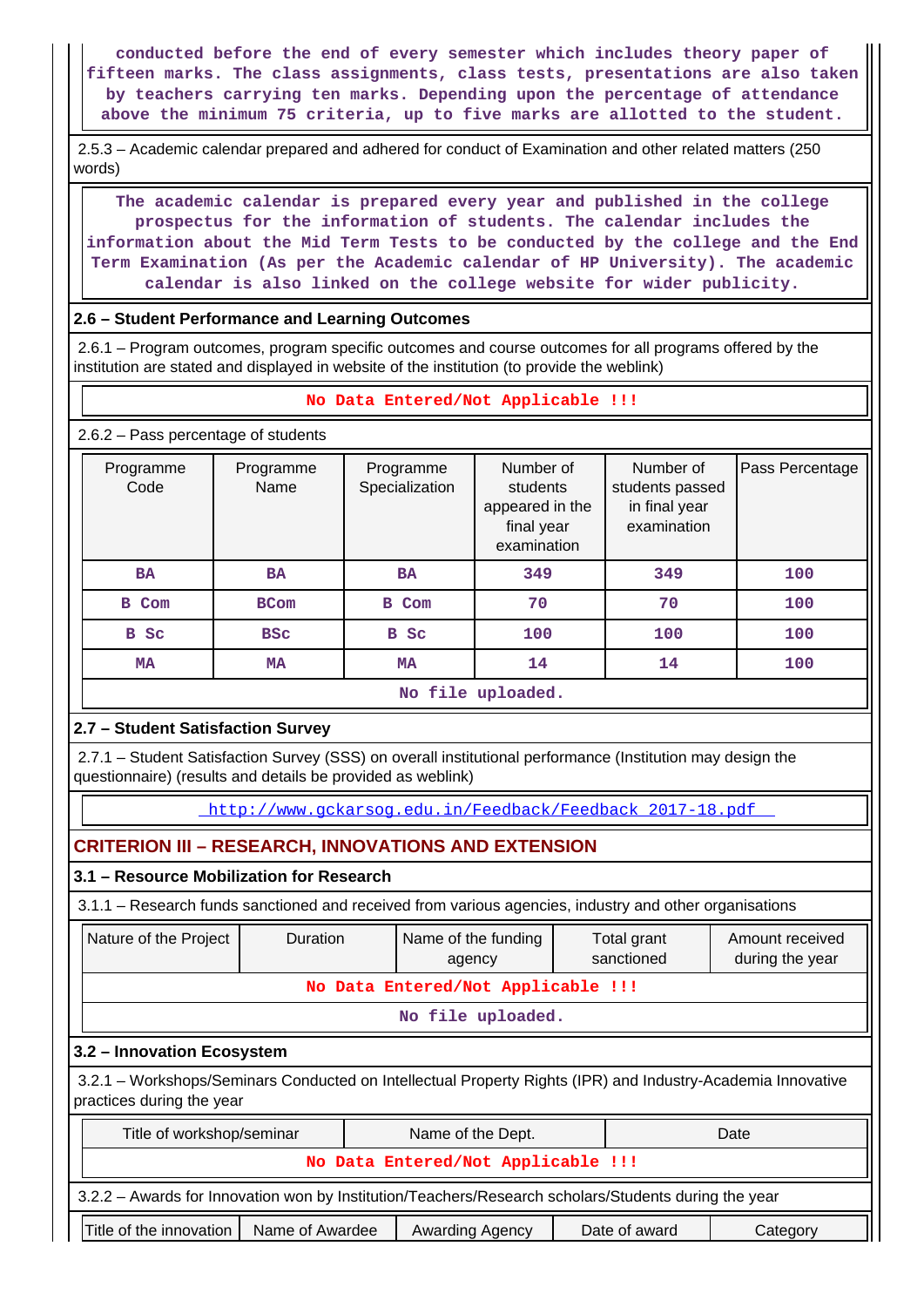**conducted before the end of every semester which includes theory paper of fifteen marks. The class assignments, class tests, presentations are also taken by teachers carrying ten marks. Depending upon the percentage of attendance above the minimum 75 criteria, up to five marks are allotted to the student.**

 2.5.3 – Academic calendar prepared and adhered for conduct of Examination and other related matters (250 words)

 **The academic calendar is prepared every year and published in the college prospectus for the information of students. The calendar includes the information about the Mid Term Tests to be conducted by the college and the End Term Examination (As per the Academic calendar of HP University). The academic calendar is also linked on the college website for wider publicity.**

### **2.6 – Student Performance and Learning Outcomes**

 2.6.1 – Program outcomes, program specific outcomes and course outcomes for all programs offered by the institution are stated and displayed in website of the institution (to provide the weblink)

#### **No Data Entered/Not Applicable !!!**

2.6.2 – Pass percentage of students

| Programme<br>Code | Programme<br>Name     | Programme<br>Specialization | Number of<br>students<br>appeared in the<br>final year<br>examination | Number of<br>students passed<br>in final year<br>examination | Pass Percentage |  |  |  |
|-------------------|-----------------------|-----------------------------|-----------------------------------------------------------------------|--------------------------------------------------------------|-----------------|--|--|--|
| <b>BA</b>         | <b>BA</b>             | <b>BA</b>                   | 349                                                                   | 349                                                          | 100             |  |  |  |
| B Com             | <b>BCom</b>           | B Com                       | 70                                                                    | 70                                                           | 100             |  |  |  |
| B Sc              | <b>BSC</b>            | B Sc                        | 100                                                                   | 100                                                          | 100             |  |  |  |
| MA                | MA                    | <b>MA</b>                   | 14                                                                    | 14                                                           | 100             |  |  |  |
|                   | みゃく しゅうりょう しんりょう ストラス |                             |                                                                       |                                                              |                 |  |  |  |

#### **No file uploaded.**

## **2.7 – Student Satisfaction Survey**

 2.7.1 – Student Satisfaction Survey (SSS) on overall institutional performance (Institution may design the questionnaire) (results and details be provided as weblink)

[http://www.gckarsog.edu.in/Feedback/Feedback\\_2017-18.pdf](http://www.gckarsog.edu.in/Feedback/Feedback_2017-18.pdf) 

# **CRITERION III – RESEARCH, INNOVATIONS AND EXTENSION**

## **3.1 – Resource Mobilization for Research**

3.1.1 – Research funds sanctioned and received from various agencies, industry and other organisations

| Nature of the Project              | <b>Duration</b> | Name of the funding<br>agency | Total grant<br>sanctioned | Amount received<br>during the year |  |
|------------------------------------|-----------------|-------------------------------|---------------------------|------------------------------------|--|
| No Data Entered/Not Applicable !!! |                 |                               |                           |                                    |  |
| No file uploaded.                  |                 |                               |                           |                                    |  |

#### **3.2 – Innovation Ecosystem**

 3.2.1 – Workshops/Seminars Conducted on Intellectual Property Rights (IPR) and Industry-Academia Innovative practices during the year

| Title of workshop/seminar                                                                            |                 |  | Name of the Dept. |  |               | Date     |  |
|------------------------------------------------------------------------------------------------------|-----------------|--|-------------------|--|---------------|----------|--|
| No Data Entered/Not Applicable !!!                                                                   |                 |  |                   |  |               |          |  |
| 3.2.2 - Awards for Innovation won by Institution/Teachers/Research scholars/Students during the year |                 |  |                   |  |               |          |  |
| Title of the innovation                                                                              | Name of Awardee |  | Awarding Agency   |  | Date of award | Category |  |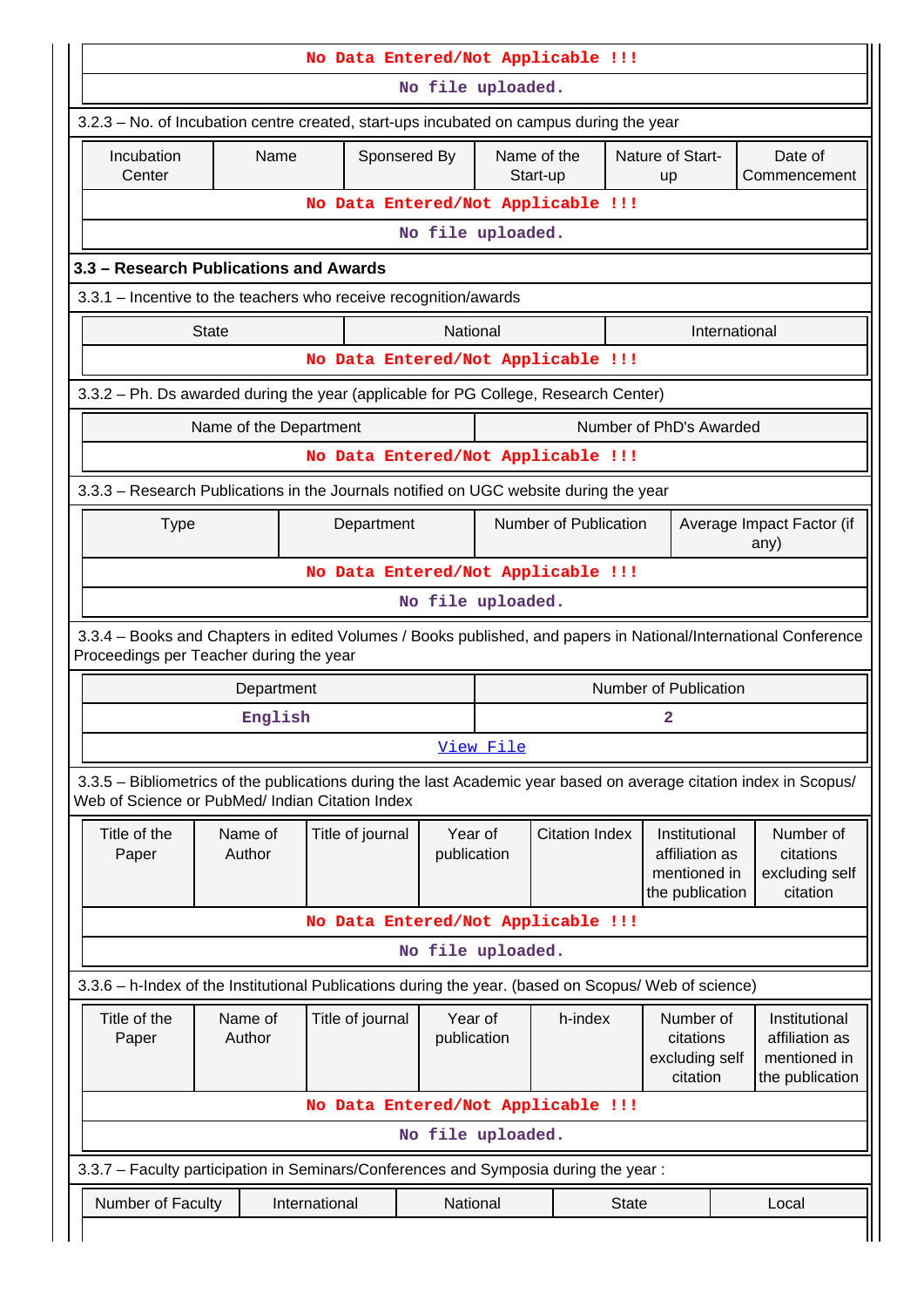|                                                                                         |                        | No Data Entered/Not Applicable !!!                                                                                                                                    |                        |                         |                       |  |                                                                    |                                                                                                   |
|-----------------------------------------------------------------------------------------|------------------------|-----------------------------------------------------------------------------------------------------------------------------------------------------------------------|------------------------|-------------------------|-----------------------|--|--------------------------------------------------------------------|---------------------------------------------------------------------------------------------------|
|                                                                                         | No file uploaded.      |                                                                                                                                                                       |                        |                         |                       |  |                                                                    |                                                                                                   |
| 3.2.3 - No. of Incubation centre created, start-ups incubated on campus during the year |                        |                                                                                                                                                                       |                        |                         |                       |  |                                                                    |                                                                                                   |
| Name<br>Incubation<br>Center                                                            |                        | Sponsered By                                                                                                                                                          |                        | Name of the<br>Start-up |                       |  | Nature of Start-<br><b>up</b>                                      | Date of<br>Commencement                                                                           |
|                                                                                         |                        | No Data Entered/Not Applicable !!!                                                                                                                                    |                        |                         |                       |  |                                                                    |                                                                                                   |
|                                                                                         |                        |                                                                                                                                                                       | No file uploaded.      |                         |                       |  |                                                                    |                                                                                                   |
| 3.3 - Research Publications and Awards                                                  |                        |                                                                                                                                                                       |                        |                         |                       |  |                                                                    |                                                                                                   |
|                                                                                         |                        | 3.3.1 - Incentive to the teachers who receive recognition/awards                                                                                                      |                        |                         |                       |  |                                                                    |                                                                                                   |
|                                                                                         | <b>State</b>           |                                                                                                                                                                       | National               |                         |                       |  | International                                                      |                                                                                                   |
|                                                                                         |                        | No Data Entered/Not Applicable !!!                                                                                                                                    |                        |                         |                       |  |                                                                    |                                                                                                   |
|                                                                                         |                        | 3.3.2 - Ph. Ds awarded during the year (applicable for PG College, Research Center)                                                                                   |                        |                         |                       |  |                                                                    |                                                                                                   |
|                                                                                         | Name of the Department |                                                                                                                                                                       |                        |                         |                       |  | Number of PhD's Awarded                                            |                                                                                                   |
|                                                                                         |                        | No Data Entered/Not Applicable !!!                                                                                                                                    |                        |                         |                       |  |                                                                    |                                                                                                   |
|                                                                                         |                        | 3.3.3 - Research Publications in the Journals notified on UGC website during the year                                                                                 |                        |                         |                       |  |                                                                    |                                                                                                   |
| <b>Type</b>                                                                             |                        | Department                                                                                                                                                            |                        |                         | Number of Publication |  |                                                                    | Average Impact Factor (if<br>any)                                                                 |
|                                                                                         |                        | No Data Entered/Not Applicable !!!                                                                                                                                    |                        |                         |                       |  |                                                                    |                                                                                                   |
|                                                                                         |                        |                                                                                                                                                                       | No file uploaded.      |                         |                       |  |                                                                    |                                                                                                   |
| Proceedings per Teacher during the year                                                 |                        | 3.3.4 - Books and Chapters in edited Volumes / Books published, and papers in National/International Conference                                                       |                        |                         |                       |  |                                                                    |                                                                                                   |
|                                                                                         | Department             |                                                                                                                                                                       |                        |                         |                       |  | Number of Publication                                              |                                                                                                   |
| English<br>2                                                                            |                        |                                                                                                                                                                       |                        |                         |                       |  |                                                                    |                                                                                                   |
|                                                                                         |                        |                                                                                                                                                                       |                        |                         |                       |  |                                                                    |                                                                                                   |
|                                                                                         |                        |                                                                                                                                                                       |                        | View File               |                       |  |                                                                    |                                                                                                   |
|                                                                                         |                        | 3.3.5 – Bibliometrics of the publications during the last Academic year based on average citation index in Scopus/<br>Web of Science or PubMed/ Indian Citation Index |                        |                         |                       |  |                                                                    |                                                                                                   |
| Title of the<br>Paper                                                                   | Name of<br>Author      | Title of journal                                                                                                                                                      | Year of<br>publication |                         | <b>Citation Index</b> |  | Institutional<br>affiliation as<br>mentioned in<br>the publication | citations<br>citation                                                                             |
|                                                                                         |                        | No Data Entered/Not Applicable !!!                                                                                                                                    |                        |                         |                       |  |                                                                    |                                                                                                   |
|                                                                                         |                        |                                                                                                                                                                       | No file uploaded.      |                         |                       |  |                                                                    |                                                                                                   |
|                                                                                         |                        | 3.3.6 - h-Index of the Institutional Publications during the year. (based on Scopus/ Web of science)                                                                  |                        |                         |                       |  |                                                                    |                                                                                                   |
| Title of the<br>Paper                                                                   | Name of<br>Author      | Title of journal                                                                                                                                                      | Year of<br>publication |                         | h-index               |  | Number of<br>citations<br>excluding self<br>citation               | Number of<br>excluding self<br>Institutional<br>affiliation as<br>mentioned in<br>the publication |
|                                                                                         |                        | No Data Entered/Not Applicable !!!                                                                                                                                    |                        |                         |                       |  |                                                                    |                                                                                                   |
|                                                                                         |                        |                                                                                                                                                                       | No file uploaded.      |                         |                       |  |                                                                    |                                                                                                   |
|                                                                                         |                        | 3.3.7 - Faculty participation in Seminars/Conferences and Symposia during the year:                                                                                   |                        |                         |                       |  |                                                                    |                                                                                                   |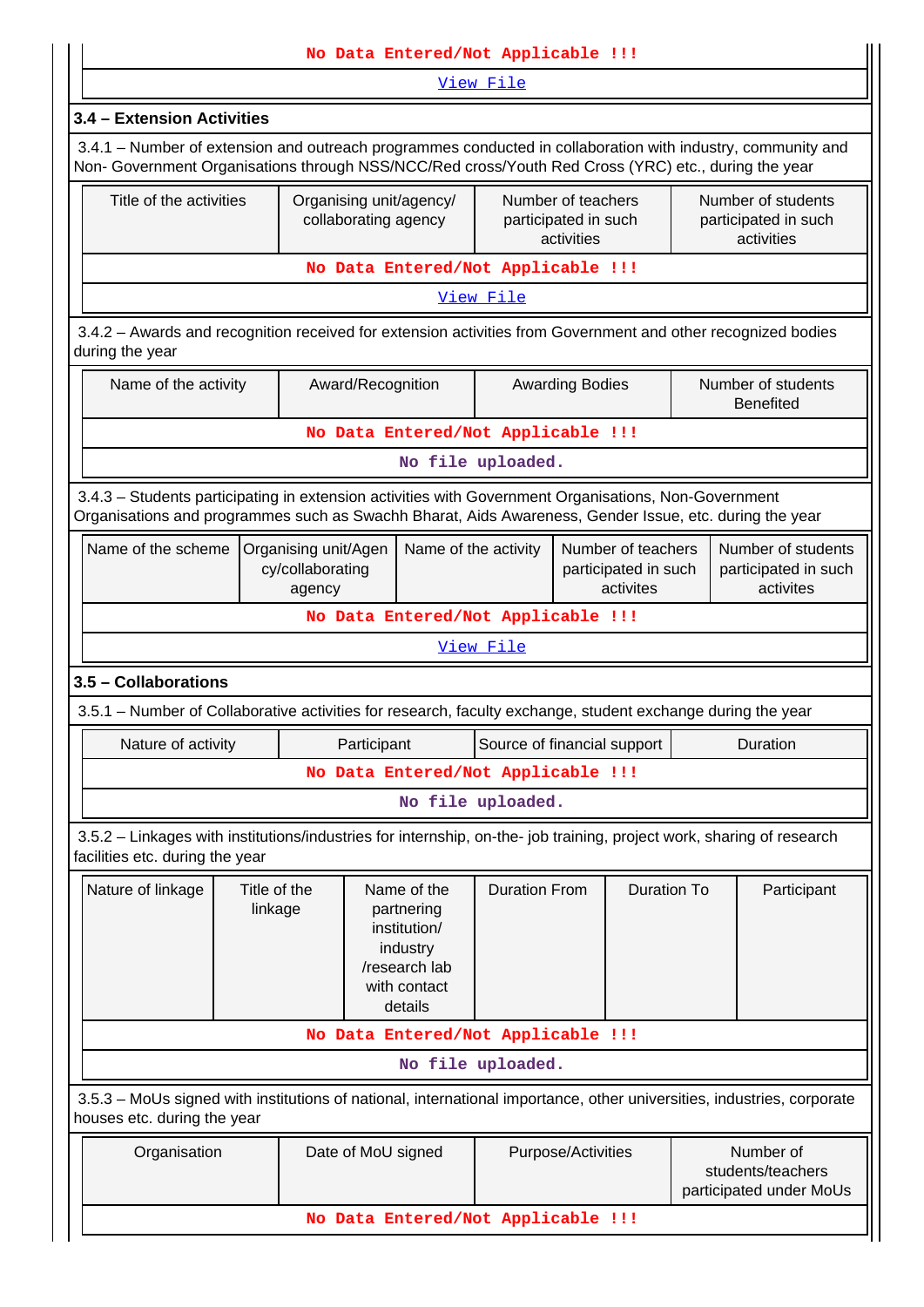| No Data Entered/Not Applicable !!!                                                                                                                                                                                     |  |  |  |  |  |  |
|------------------------------------------------------------------------------------------------------------------------------------------------------------------------------------------------------------------------|--|--|--|--|--|--|
| View File                                                                                                                                                                                                              |  |  |  |  |  |  |
| 3.4 - Extension Activities                                                                                                                                                                                             |  |  |  |  |  |  |
| 3.4.1 – Number of extension and outreach programmes conducted in collaboration with industry, community and<br>Non- Government Organisations through NSS/NCC/Red cross/Youth Red Cross (YRC) etc., during the year     |  |  |  |  |  |  |
| Title of the activities<br>Organising unit/agency/<br>Number of teachers<br>Number of students<br>collaborating agency<br>participated in such<br>participated in such<br>activities<br>activities                     |  |  |  |  |  |  |
| No Data Entered/Not Applicable !!!                                                                                                                                                                                     |  |  |  |  |  |  |
| View File                                                                                                                                                                                                              |  |  |  |  |  |  |
| 3.4.2 - Awards and recognition received for extension activities from Government and other recognized bodies<br>during the year                                                                                        |  |  |  |  |  |  |
| Name of the activity<br>Number of students<br>Award/Recognition<br><b>Awarding Bodies</b><br><b>Benefited</b>                                                                                                          |  |  |  |  |  |  |
| No Data Entered/Not Applicable !!!                                                                                                                                                                                     |  |  |  |  |  |  |
| No file uploaded.                                                                                                                                                                                                      |  |  |  |  |  |  |
| 3.4.3 - Students participating in extension activities with Government Organisations, Non-Government<br>Organisations and programmes such as Swachh Bharat, Aids Awareness, Gender Issue, etc. during the year         |  |  |  |  |  |  |
| Name of the scheme<br>Name of the activity<br>Number of teachers<br>Number of students<br>Organising unit/Agen<br>cy/collaborating<br>participated in such<br>participated in such<br>activites<br>activites<br>agency |  |  |  |  |  |  |
| No Data Entered/Not Applicable !!!                                                                                                                                                                                     |  |  |  |  |  |  |
| View File                                                                                                                                                                                                              |  |  |  |  |  |  |
| 3.5 - Collaborations                                                                                                                                                                                                   |  |  |  |  |  |  |
| 3.5.1 – Number of Collaborative activities for research, faculty exchange, student exchange during the year                                                                                                            |  |  |  |  |  |  |
| Nature of activity<br>Participant<br>Source of financial support<br>Duration                                                                                                                                           |  |  |  |  |  |  |
| No Data Entered/Not Applicable !!!                                                                                                                                                                                     |  |  |  |  |  |  |
| No file uploaded.                                                                                                                                                                                                      |  |  |  |  |  |  |
| 3.5.2 - Linkages with institutions/industries for internship, on-the- job training, project work, sharing of research<br>facilities etc. during the year                                                               |  |  |  |  |  |  |
| Title of the<br><b>Duration From</b><br><b>Duration To</b><br>Nature of linkage<br>Name of the<br>Participant<br>linkage<br>partnering<br>institution/<br>industry<br>/research lab<br>with contact<br>details         |  |  |  |  |  |  |
| No Data Entered/Not Applicable !!!                                                                                                                                                                                     |  |  |  |  |  |  |
| No file uploaded.                                                                                                                                                                                                      |  |  |  |  |  |  |
| 3.5.3 – MoUs signed with institutions of national, international importance, other universities, industries, corporate<br>houses etc. during the year                                                                  |  |  |  |  |  |  |
| Purpose/Activities<br>Number of<br>Organisation<br>Date of MoU signed<br>students/teachers<br>participated under MoUs                                                                                                  |  |  |  |  |  |  |
| No Data Entered/Not Applicable !!!                                                                                                                                                                                     |  |  |  |  |  |  |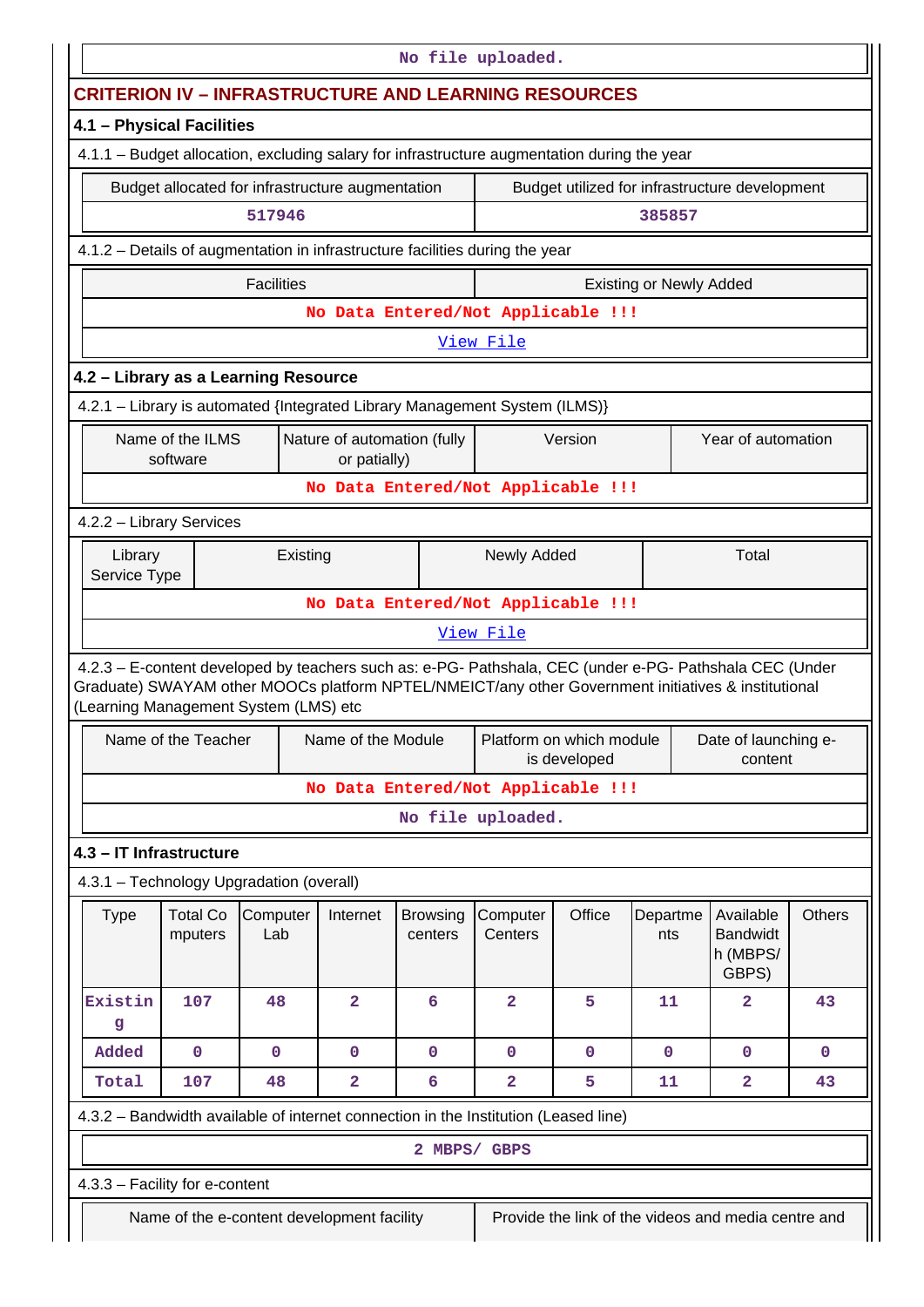|                                                                                                                                                                                                                                                         |                                                  |                                            |                                             |                            | No file uploaded.                  |                                          |                                |                                                     |               |
|---------------------------------------------------------------------------------------------------------------------------------------------------------------------------------------------------------------------------------------------------------|--------------------------------------------------|--------------------------------------------|---------------------------------------------|----------------------------|------------------------------------|------------------------------------------|--------------------------------|-----------------------------------------------------|---------------|
| <b>CRITERION IV - INFRASTRUCTURE AND LEARNING RESOURCES</b>                                                                                                                                                                                             |                                                  |                                            |                                             |                            |                                    |                                          |                                |                                                     |               |
| 4.1 - Physical Facilities                                                                                                                                                                                                                               |                                                  |                                            |                                             |                            |                                    |                                          |                                |                                                     |               |
| 4.1.1 – Budget allocation, excluding salary for infrastructure augmentation during the year                                                                                                                                                             |                                                  |                                            |                                             |                            |                                    |                                          |                                |                                                     |               |
|                                                                                                                                                                                                                                                         | Budget allocated for infrastructure augmentation |                                            |                                             |                            |                                    |                                          |                                | Budget utilized for infrastructure development      |               |
|                                                                                                                                                                                                                                                         |                                                  | 517946                                     |                                             |                            |                                    |                                          | 385857                         |                                                     |               |
| 4.1.2 – Details of augmentation in infrastructure facilities during the year                                                                                                                                                                            |                                                  |                                            |                                             |                            |                                    |                                          |                                |                                                     |               |
|                                                                                                                                                                                                                                                         |                                                  | <b>Facilities</b>                          |                                             |                            |                                    |                                          | <b>Existing or Newly Added</b> |                                                     |               |
|                                                                                                                                                                                                                                                         |                                                  |                                            |                                             |                            | No Data Entered/Not Applicable !!! |                                          |                                |                                                     |               |
|                                                                                                                                                                                                                                                         |                                                  |                                            |                                             |                            | View File                          |                                          |                                |                                                     |               |
| 4.2 - Library as a Learning Resource                                                                                                                                                                                                                    |                                                  |                                            |                                             |                            |                                    |                                          |                                |                                                     |               |
| 4.2.1 - Library is automated {Integrated Library Management System (ILMS)}                                                                                                                                                                              |                                                  |                                            |                                             |                            |                                    |                                          |                                |                                                     |               |
|                                                                                                                                                                                                                                                         | Name of the ILMS<br>software                     |                                            | Nature of automation (fully<br>or patially) |                            |                                    | Version                                  |                                | Year of automation                                  |               |
|                                                                                                                                                                                                                                                         |                                                  |                                            |                                             |                            | No Data Entered/Not Applicable !!! |                                          |                                |                                                     |               |
| 4.2.2 - Library Services                                                                                                                                                                                                                                |                                                  |                                            |                                             |                            |                                    |                                          |                                |                                                     |               |
| Library<br>Service Type                                                                                                                                                                                                                                 |                                                  | Existing                                   |                                             |                            | Newly Added                        |                                          |                                | Total                                               |               |
|                                                                                                                                                                                                                                                         |                                                  |                                            |                                             |                            | No Data Entered/Not Applicable !!! |                                          |                                |                                                     |               |
|                                                                                                                                                                                                                                                         |                                                  |                                            |                                             |                            | View File                          |                                          |                                |                                                     |               |
| 4.2.3 - E-content developed by teachers such as: e-PG- Pathshala, CEC (under e-PG- Pathshala CEC (Under<br>Graduate) SWAYAM other MOOCs platform NPTEL/NMEICT/any other Government initiatives & institutional<br>(Learning Management System (LMS) etc |                                                  |                                            |                                             |                            |                                    |                                          |                                |                                                     |               |
|                                                                                                                                                                                                                                                         | Name of the Teacher                              |                                            | Name of the Module                          |                            |                                    | Platform on which module<br>is developed |                                | Date of launching e-<br>content                     |               |
|                                                                                                                                                                                                                                                         |                                                  |                                            |                                             |                            | No Data Entered/Not Applicable !!! |                                          |                                |                                                     |               |
|                                                                                                                                                                                                                                                         |                                                  |                                            |                                             |                            | No file uploaded.                  |                                          |                                |                                                     |               |
| 4.3 - IT Infrastructure                                                                                                                                                                                                                                 |                                                  |                                            |                                             |                            |                                    |                                          |                                |                                                     |               |
| 4.3.1 - Technology Upgradation (overall)                                                                                                                                                                                                                |                                                  |                                            |                                             |                            |                                    |                                          |                                |                                                     |               |
| <b>Type</b>                                                                                                                                                                                                                                             | <b>Total Co</b><br>mputers                       | Computer<br>Lab                            | Internet                                    | <b>Browsing</b><br>centers | Computer<br>Centers                | Office                                   | Departme<br>nts                | Available<br><b>Bandwidt</b><br>h (MBPS/<br>GBPS)   | <b>Others</b> |
| Existin<br>g                                                                                                                                                                                                                                            | 107                                              | 48                                         | 2                                           | 6                          | $\overline{\mathbf{2}}$            | 5                                        | 11                             | $\mathbf{2}$                                        | 43            |
| Added                                                                                                                                                                                                                                                   | $\mathbf 0$                                      | $\mathbf 0$                                | $\mathbf 0$                                 | $\mathbf 0$                | $\mathbf 0$                        | $\mathbf 0$                              | $\mathbf 0$                    | $\mathbf 0$                                         | $\mathbf 0$   |
| Total                                                                                                                                                                                                                                                   | 107                                              | 48                                         | $\overline{\mathbf{2}}$                     | 6                          | $\overline{\mathbf{2}}$            | 5                                        | 11                             | $\overline{\mathbf{2}}$                             | 43            |
| 4.3.2 - Bandwidth available of internet connection in the Institution (Leased line)                                                                                                                                                                     |                                                  |                                            |                                             |                            |                                    |                                          |                                |                                                     |               |
|                                                                                                                                                                                                                                                         |                                                  |                                            |                                             |                            | 2 MBPS/ GBPS                       |                                          |                                |                                                     |               |
| 4.3.3 - Facility for e-content                                                                                                                                                                                                                          |                                                  |                                            |                                             |                            |                                    |                                          |                                |                                                     |               |
|                                                                                                                                                                                                                                                         |                                                  | Name of the e-content development facility |                                             |                            |                                    |                                          |                                | Provide the link of the videos and media centre and |               |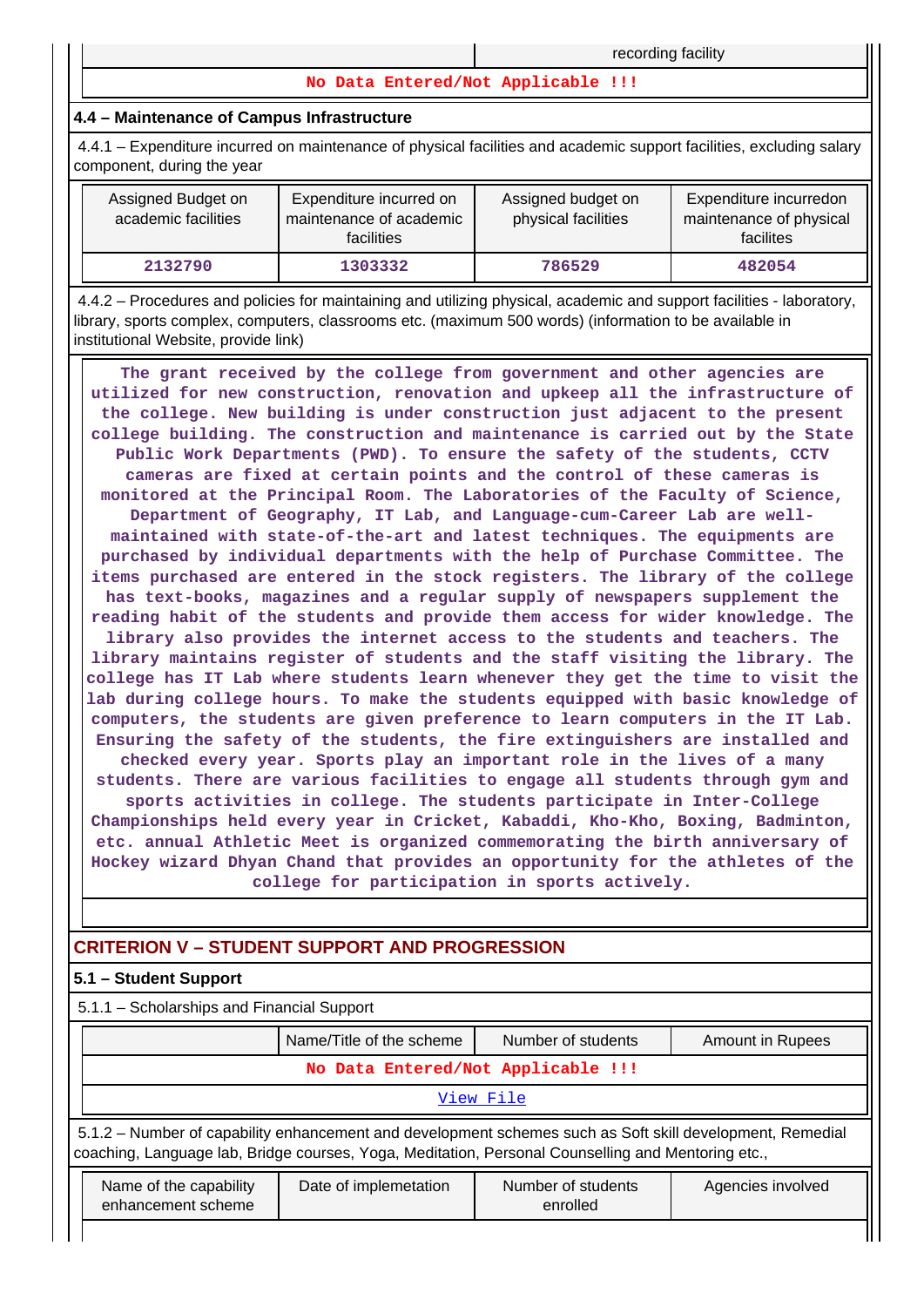#### **No Data Entered/Not Applicable !!!**

#### **4.4 – Maintenance of Campus Infrastructure**

 4.4.1 – Expenditure incurred on maintenance of physical facilities and academic support facilities, excluding salary component, during the year

| Assigned Budget on<br>academic facilities | Expenditure incurred on<br>maintenance of academic<br>facilities | Assigned budget on<br>physical facilities | Expenditure incurredon<br>maintenance of physical<br>facilites |
|-------------------------------------------|------------------------------------------------------------------|-------------------------------------------|----------------------------------------------------------------|
| 2132790                                   | 1303332                                                          | 786529                                    | 482054                                                         |

 4.4.2 – Procedures and policies for maintaining and utilizing physical, academic and support facilities - laboratory, library, sports complex, computers, classrooms etc. (maximum 500 words) (information to be available in institutional Website, provide link)

 **The grant received by the college from government and other agencies are utilized for new construction, renovation and upkeep all the infrastructure of the college. New building is under construction just adjacent to the present college building. The construction and maintenance is carried out by the State Public Work Departments (PWD). To ensure the safety of the students, CCTV cameras are fixed at certain points and the control of these cameras is monitored at the Principal Room. The Laboratories of the Faculty of Science, Department of Geography, IT Lab, and Language-cum-Career Lab are wellmaintained with state-of-the-art and latest techniques. The equipments are purchased by individual departments with the help of Purchase Committee. The items purchased are entered in the stock registers. The library of the college has text-books, magazines and a regular supply of newspapers supplement the reading habit of the students and provide them access for wider knowledge. The library also provides the internet access to the students and teachers. The library maintains register of students and the staff visiting the library. The college has IT Lab where students learn whenever they get the time to visit the lab during college hours. To make the students equipped with basic knowledge of computers, the students are given preference to learn computers in the IT Lab. Ensuring the safety of the students, the fire extinguishers are installed and checked every year. Sports play an important role in the lives of a many students. There are various facilities to engage all students through gym and sports activities in college. The students participate in Inter-College Championships held every year in Cricket, Kabaddi, Kho-Kho, Boxing, Badminton, etc. annual Athletic Meet is organized commemorating the birth anniversary of Hockey wizard Dhyan Chand that provides an opportunity for the athletes of the college for participation in sports actively.**

# **CRITERION V – STUDENT SUPPORT AND PROGRESSION**

## **5.1 – Student Support**

 5.1.1 – Scholarships and Financial Support Name/Title of the scheme | Number of students | Amount in Rupees **No Data Entered/Not Applicable !!!** [View File](https://assessmentonline.naac.gov.in/public/Postacc/Scholarships/4930_Scholarships_1584613963.xlsx) 5.1.2 – Number of capability enhancement and development schemes such as Soft skill development, Remedial coaching, Language lab, Bridge courses, Yoga, Meditation, Personal Counselling and Mentoring etc., Name of the capability Date of implemetation | Number of students Agencies involved

| Name of the capability | Date of implemetation | Number of students | Agencies involved |
|------------------------|-----------------------|--------------------|-------------------|
| enhancement scheme     |                       | enrolled           |                   |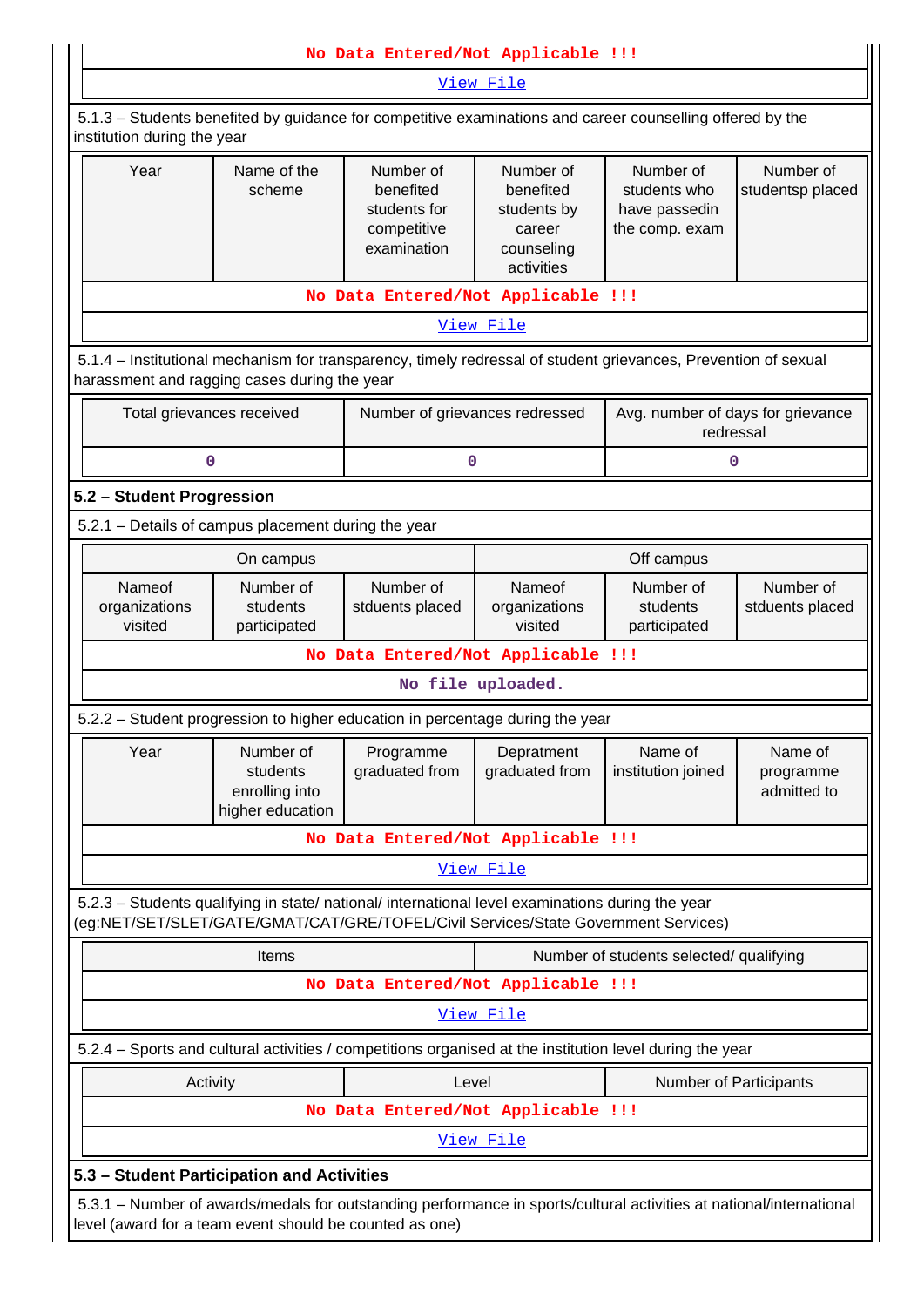|                                                                                                                                          | No Data Entered/Not Applicable !!!                                                                                                                                                     |                                                                      |                                                                             |                                                              |                                     |  |  |
|------------------------------------------------------------------------------------------------------------------------------------------|----------------------------------------------------------------------------------------------------------------------------------------------------------------------------------------|----------------------------------------------------------------------|-----------------------------------------------------------------------------|--------------------------------------------------------------|-------------------------------------|--|--|
| View File                                                                                                                                |                                                                                                                                                                                        |                                                                      |                                                                             |                                                              |                                     |  |  |
| 5.1.3 – Students benefited by guidance for competitive examinations and career counselling offered by the<br>institution during the year |                                                                                                                                                                                        |                                                                      |                                                                             |                                                              |                                     |  |  |
| Year                                                                                                                                     | Name of the<br>scheme                                                                                                                                                                  | Number of<br>benefited<br>students for<br>competitive<br>examination | Number of<br>benefited<br>students by<br>career<br>counseling<br>activities | Number of<br>students who<br>have passedin<br>the comp. exam | Number of<br>studentsp placed       |  |  |
|                                                                                                                                          |                                                                                                                                                                                        | No Data Entered/Not Applicable !!!                                   |                                                                             |                                                              |                                     |  |  |
|                                                                                                                                          |                                                                                                                                                                                        |                                                                      | View File                                                                   |                                                              |                                     |  |  |
| harassment and ragging cases during the year                                                                                             | 5.1.4 – Institutional mechanism for transparency, timely redressal of student grievances, Prevention of sexual                                                                         |                                                                      |                                                                             |                                                              |                                     |  |  |
|                                                                                                                                          | Total grievances received                                                                                                                                                              | Number of grievances redressed                                       |                                                                             | Avg. number of days for grievance<br>redressal               |                                     |  |  |
|                                                                                                                                          | 0                                                                                                                                                                                      | 0                                                                    |                                                                             | $\mathbf 0$                                                  |                                     |  |  |
| 5.2 - Student Progression                                                                                                                |                                                                                                                                                                                        |                                                                      |                                                                             |                                                              |                                     |  |  |
|                                                                                                                                          | 5.2.1 - Details of campus placement during the year                                                                                                                                    |                                                                      |                                                                             |                                                              |                                     |  |  |
|                                                                                                                                          | On campus                                                                                                                                                                              |                                                                      |                                                                             | Off campus                                                   |                                     |  |  |
| Nameof<br>organizations<br>visited                                                                                                       | Number of<br>students<br>participated                                                                                                                                                  | Number of<br>stduents placed                                         | Nameof<br>organizations<br>visited                                          | Number of<br>students<br>participated                        | Number of<br>stduents placed        |  |  |
|                                                                                                                                          |                                                                                                                                                                                        | No Data Entered/Not Applicable !!!                                   |                                                                             |                                                              |                                     |  |  |
|                                                                                                                                          |                                                                                                                                                                                        |                                                                      | No file uploaded.                                                           |                                                              |                                     |  |  |
|                                                                                                                                          | 5.2.2 - Student progression to higher education in percentage during the year                                                                                                          |                                                                      |                                                                             |                                                              |                                     |  |  |
| Year                                                                                                                                     | Number of<br>students<br>enrolling into<br>higher education                                                                                                                            | Programme<br>graduated from                                          | Depratment<br>graduated from                                                | Name of<br>institution joined                                | Name of<br>programme<br>admitted to |  |  |
|                                                                                                                                          |                                                                                                                                                                                        | No Data Entered/Not Applicable !!!                                   |                                                                             |                                                              |                                     |  |  |
|                                                                                                                                          |                                                                                                                                                                                        |                                                                      | View File                                                                   |                                                              |                                     |  |  |
|                                                                                                                                          | 5.2.3 - Students qualifying in state/ national/ international level examinations during the year<br>(eg:NET/SET/SLET/GATE/GMAT/CAT/GRE/TOFEL/Civil Services/State Government Services) |                                                                      |                                                                             |                                                              |                                     |  |  |
|                                                                                                                                          | Items                                                                                                                                                                                  |                                                                      | Number of students selected/ qualifying                                     |                                                              |                                     |  |  |
|                                                                                                                                          |                                                                                                                                                                                        | No Data Entered/Not Applicable !!!                                   |                                                                             |                                                              |                                     |  |  |
|                                                                                                                                          |                                                                                                                                                                                        |                                                                      | View File                                                                   |                                                              |                                     |  |  |
|                                                                                                                                          | 5.2.4 - Sports and cultural activities / competitions organised at the institution level during the year                                                                               |                                                                      |                                                                             |                                                              |                                     |  |  |
|                                                                                                                                          | Activity                                                                                                                                                                               | Level                                                                |                                                                             | Number of Participants                                       |                                     |  |  |
|                                                                                                                                          |                                                                                                                                                                                        | No Data Entered/Not Applicable !!!                                   |                                                                             |                                                              |                                     |  |  |
|                                                                                                                                          |                                                                                                                                                                                        |                                                                      | View File                                                                   |                                                              |                                     |  |  |
| 5.3 - Student Participation and Activities                                                                                               |                                                                                                                                                                                        |                                                                      |                                                                             |                                                              |                                     |  |  |
|                                                                                                                                          | 5.3.1 – Number of awards/medals for outstanding performance in sports/cultural activities at national/international<br>level (award for a team event should be counted as one)         |                                                                      |                                                                             |                                                              |                                     |  |  |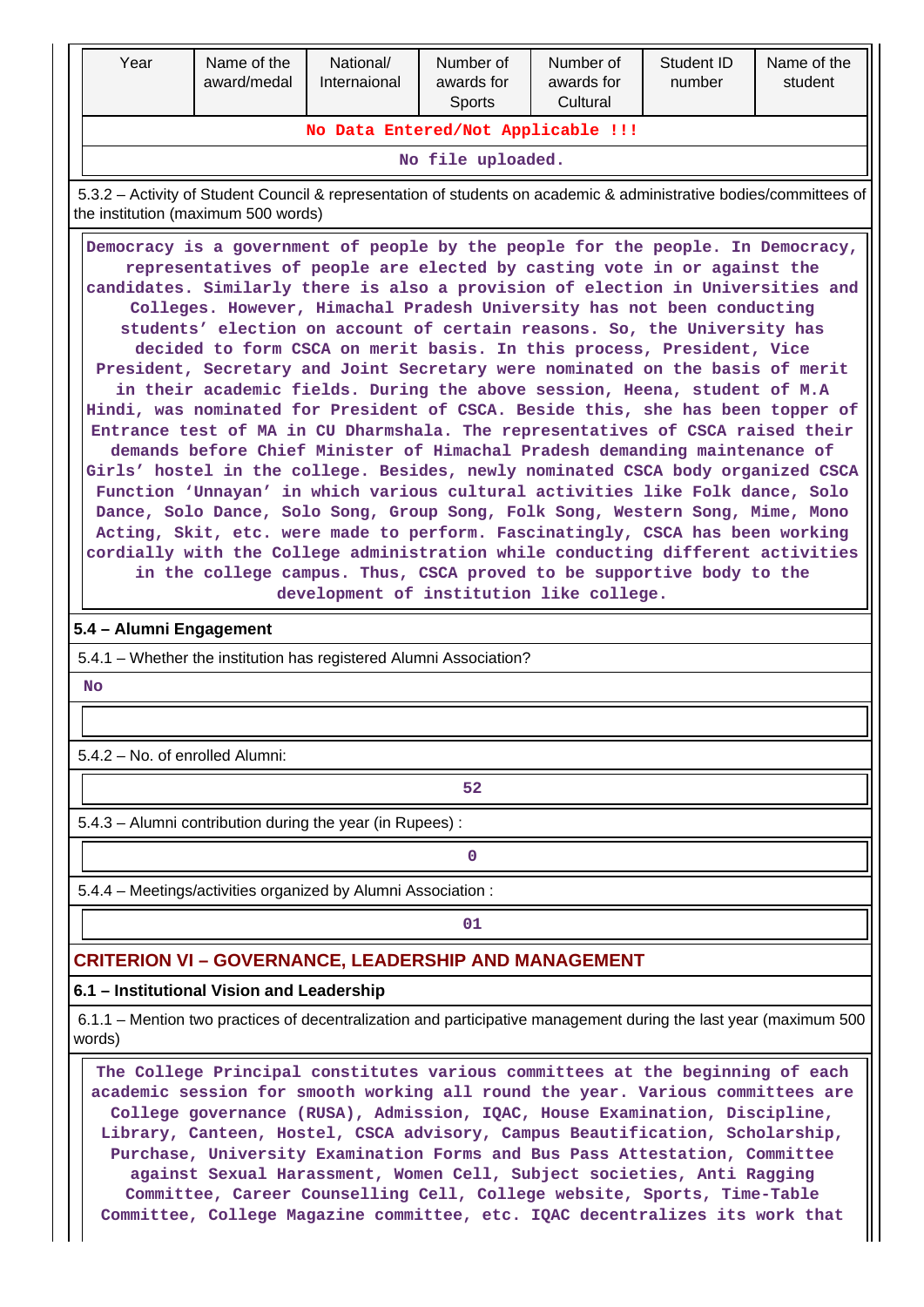| Year                                                                                                                                                                                                                                                                                                                                                                                                                                                                                                                                                                                                                                                                                                                                                                                                                                                                                                                                                                                                                                                                                                                                                                                                                                                                                                                                                                                                                                        | Name of the<br>award/medal                                         | National/<br>Internaional | Number of<br>awards for                      | Number of<br>awards for | Student ID<br>number | Name of the<br>student |  |  |
|---------------------------------------------------------------------------------------------------------------------------------------------------------------------------------------------------------------------------------------------------------------------------------------------------------------------------------------------------------------------------------------------------------------------------------------------------------------------------------------------------------------------------------------------------------------------------------------------------------------------------------------------------------------------------------------------------------------------------------------------------------------------------------------------------------------------------------------------------------------------------------------------------------------------------------------------------------------------------------------------------------------------------------------------------------------------------------------------------------------------------------------------------------------------------------------------------------------------------------------------------------------------------------------------------------------------------------------------------------------------------------------------------------------------------------------------|--------------------------------------------------------------------|---------------------------|----------------------------------------------|-------------------------|----------------------|------------------------|--|--|
|                                                                                                                                                                                                                                                                                                                                                                                                                                                                                                                                                                                                                                                                                                                                                                                                                                                                                                                                                                                                                                                                                                                                                                                                                                                                                                                                                                                                                                             |                                                                    |                           | Sports<br>No Data Entered/Not Applicable !!! | Cultural                |                      |                        |  |  |
|                                                                                                                                                                                                                                                                                                                                                                                                                                                                                                                                                                                                                                                                                                                                                                                                                                                                                                                                                                                                                                                                                                                                                                                                                                                                                                                                                                                                                                             |                                                                    |                           | No file uploaded.                            |                         |                      |                        |  |  |
| 5.3.2 - Activity of Student Council & representation of students on academic & administrative bodies/committees of<br>the institution (maximum 500 words)                                                                                                                                                                                                                                                                                                                                                                                                                                                                                                                                                                                                                                                                                                                                                                                                                                                                                                                                                                                                                                                                                                                                                                                                                                                                                   |                                                                    |                           |                                              |                         |                      |                        |  |  |
| Democracy is a government of people by the people for the people. In Democracy,<br>representatives of people are elected by casting vote in or against the<br>candidates. Similarly there is also a provision of election in Universities and<br>Colleges. However, Himachal Pradesh University has not been conducting<br>students' election on account of certain reasons. So, the University has<br>decided to form CSCA on merit basis. In this process, President, Vice<br>President, Secretary and Joint Secretary were nominated on the basis of merit<br>in their academic fields. During the above session, Heena, student of M.A<br>Hindi, was nominated for President of CSCA. Beside this, she has been topper of<br>Entrance test of MA in CU Dharmshala. The representatives of CSCA raised their<br>demands before Chief Minister of Himachal Pradesh demanding maintenance of<br>Girls' hostel in the college. Besides, newly nominated CSCA body organized CSCA<br>Function 'Unnayan' in which various cultural activities like Folk dance, Solo<br>Dance, Solo Dance, Solo Song, Group Song, Folk Song, Western Song, Mime, Mono<br>Acting, Skit, etc. were made to perform. Fascinatingly, CSCA has been working<br>cordially with the College administration while conducting different activities<br>in the college campus. Thus, CSCA proved to be supportive body to the<br>development of institution like college. |                                                                    |                           |                                              |                         |                      |                        |  |  |
| <b>No</b>                                                                                                                                                                                                                                                                                                                                                                                                                                                                                                                                                                                                                                                                                                                                                                                                                                                                                                                                                                                                                                                                                                                                                                                                                                                                                                                                                                                                                                   | 5.4.1 - Whether the institution has registered Alumni Association? |                           |                                              |                         |                      |                        |  |  |
| 5.4.2 - No. of enrolled Alumni:                                                                                                                                                                                                                                                                                                                                                                                                                                                                                                                                                                                                                                                                                                                                                                                                                                                                                                                                                                                                                                                                                                                                                                                                                                                                                                                                                                                                             |                                                                    |                           |                                              |                         |                      |                        |  |  |
|                                                                                                                                                                                                                                                                                                                                                                                                                                                                                                                                                                                                                                                                                                                                                                                                                                                                                                                                                                                                                                                                                                                                                                                                                                                                                                                                                                                                                                             |                                                                    |                           | 52                                           |                         |                      |                        |  |  |
|                                                                                                                                                                                                                                                                                                                                                                                                                                                                                                                                                                                                                                                                                                                                                                                                                                                                                                                                                                                                                                                                                                                                                                                                                                                                                                                                                                                                                                             | 5.4.3 - Alumni contribution during the year (in Rupees) :          |                           |                                              |                         |                      |                        |  |  |
|                                                                                                                                                                                                                                                                                                                                                                                                                                                                                                                                                                                                                                                                                                                                                                                                                                                                                                                                                                                                                                                                                                                                                                                                                                                                                                                                                                                                                                             |                                                                    |                           | 0                                            |                         |                      |                        |  |  |
|                                                                                                                                                                                                                                                                                                                                                                                                                                                                                                                                                                                                                                                                                                                                                                                                                                                                                                                                                                                                                                                                                                                                                                                                                                                                                                                                                                                                                                             | 5.4.4 - Meetings/activities organized by Alumni Association:       |                           |                                              |                         |                      |                        |  |  |
|                                                                                                                                                                                                                                                                                                                                                                                                                                                                                                                                                                                                                                                                                                                                                                                                                                                                                                                                                                                                                                                                                                                                                                                                                                                                                                                                                                                                                                             |                                                                    |                           | 01                                           |                         |                      |                        |  |  |
|                                                                                                                                                                                                                                                                                                                                                                                                                                                                                                                                                                                                                                                                                                                                                                                                                                                                                                                                                                                                                                                                                                                                                                                                                                                                                                                                                                                                                                             | <b>CRITERION VI - GOVERNANCE, LEADERSHIP AND MANAGEMENT</b>        |                           |                                              |                         |                      |                        |  |  |
|                                                                                                                                                                                                                                                                                                                                                                                                                                                                                                                                                                                                                                                                                                                                                                                                                                                                                                                                                                                                                                                                                                                                                                                                                                                                                                                                                                                                                                             | 6.1 - Institutional Vision and Leadership                          |                           |                                              |                         |                      |                        |  |  |
| words)                                                                                                                                                                                                                                                                                                                                                                                                                                                                                                                                                                                                                                                                                                                                                                                                                                                                                                                                                                                                                                                                                                                                                                                                                                                                                                                                                                                                                                      |                                                                    |                           |                                              |                         |                      |                        |  |  |
| 6.1.1 – Mention two practices of decentralization and participative management during the last year (maximum 500<br>The College Principal constitutes various committees at the beginning of each<br>academic session for smooth working all round the year. Various committees are<br>College governance (RUSA), Admission, IQAC, House Examination, Discipline,<br>Library, Canteen, Hostel, CSCA advisory, Campus Beautification, Scholarship,<br>Purchase, University Examination Forms and Bus Pass Attestation, Committee<br>against Sexual Harassment, Women Cell, Subject societies, Anti Ragging<br>Committee, Career Counselling Cell, College website, Sports, Time-Table<br>Committee, College Magazine committee, etc. IQAC decentralizes its work that                                                                                                                                                                                                                                                                                                                                                                                                                                                                                                                                                                                                                                                                        |                                                                    |                           |                                              |                         |                      |                        |  |  |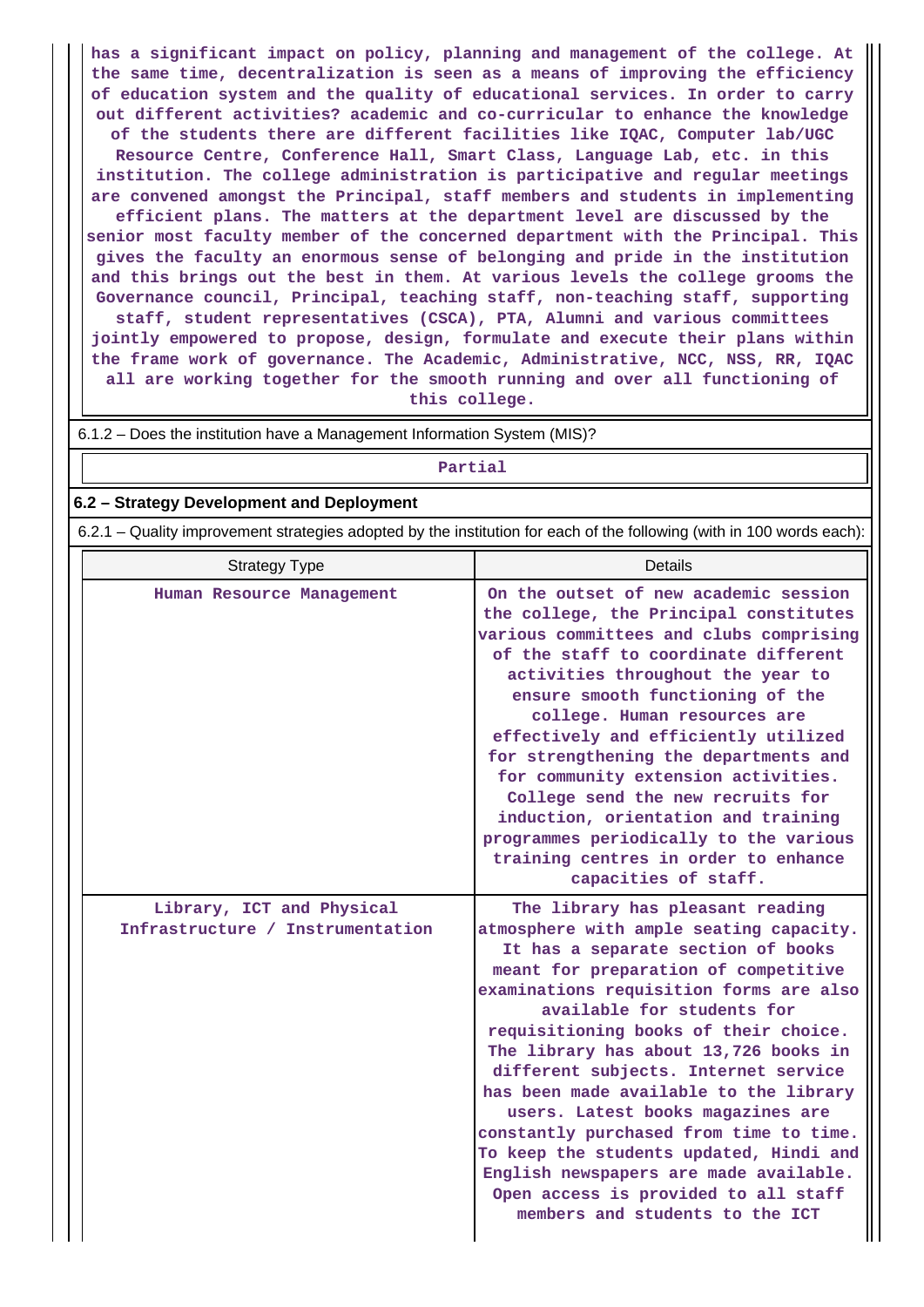**has a significant impact on policy, planning and management of the college. At the same time, decentralization is seen as a means of improving the efficiency of education system and the quality of educational services. In order to carry out different activities? academic and co-curricular to enhance the knowledge of the students there are different facilities like IQAC, Computer lab/UGC Resource Centre, Conference Hall, Smart Class, Language Lab, etc. in this institution. The college administration is participative and regular meetings are convened amongst the Principal, staff members and students in implementing efficient plans. The matters at the department level are discussed by the senior most faculty member of the concerned department with the Principal. This gives the faculty an enormous sense of belonging and pride in the institution and this brings out the best in them. At various levels the college grooms the Governance council, Principal, teaching staff, non-teaching staff, supporting staff, student representatives (CSCA), PTA, Alumni and various committees**

**jointly empowered to propose, design, formulate and execute their plans within the frame work of governance. The Academic, Administrative, NCC, NSS, RR, IQAC all are working together for the smooth running and over all functioning of this college.**

6.1.2 – Does the institution have a Management Information System (MIS)?

#### **Partial**

#### **6.2 – Strategy Development and Deployment**

6.2.1 – Quality improvement strategies adopted by the institution for each of the following (with in 100 words each):

| <b>Strategy Type</b>                                          | <b>Details</b>                                                                                                                                                                                                                                                                                                                                                                                                                                                                                                                                                                                                                                         |
|---------------------------------------------------------------|--------------------------------------------------------------------------------------------------------------------------------------------------------------------------------------------------------------------------------------------------------------------------------------------------------------------------------------------------------------------------------------------------------------------------------------------------------------------------------------------------------------------------------------------------------------------------------------------------------------------------------------------------------|
| Human Resource Management                                     | On the outset of new academic session<br>the college, the Principal constitutes<br>various committees and clubs comprising<br>of the staff to coordinate different<br>activities throughout the year to<br>ensure smooth functioning of the<br>college. Human resources are<br>effectively and efficiently utilized<br>for strengthening the departments and<br>for community extension activities.<br>College send the new recruits for<br>induction, orientation and training<br>programmes periodically to the various<br>training centres in order to enhance<br>capacities of staff.                                                              |
| Library, ICT and Physical<br>Infrastructure / Instrumentation | The library has pleasant reading<br>atmosphere with ample seating capacity.<br>It has a separate section of books<br>meant for preparation of competitive<br>examinations requisition forms are also<br>available for students for<br>requisitioning books of their choice.<br>The library has about 13,726 books in<br>different subjects. Internet service<br>has been made available to the library<br>users. Latest books magazines are<br>constantly purchased from time to time.<br>To keep the students updated, Hindi and<br>English newspapers are made available.<br>Open access is provided to all staff<br>members and students to the ICT |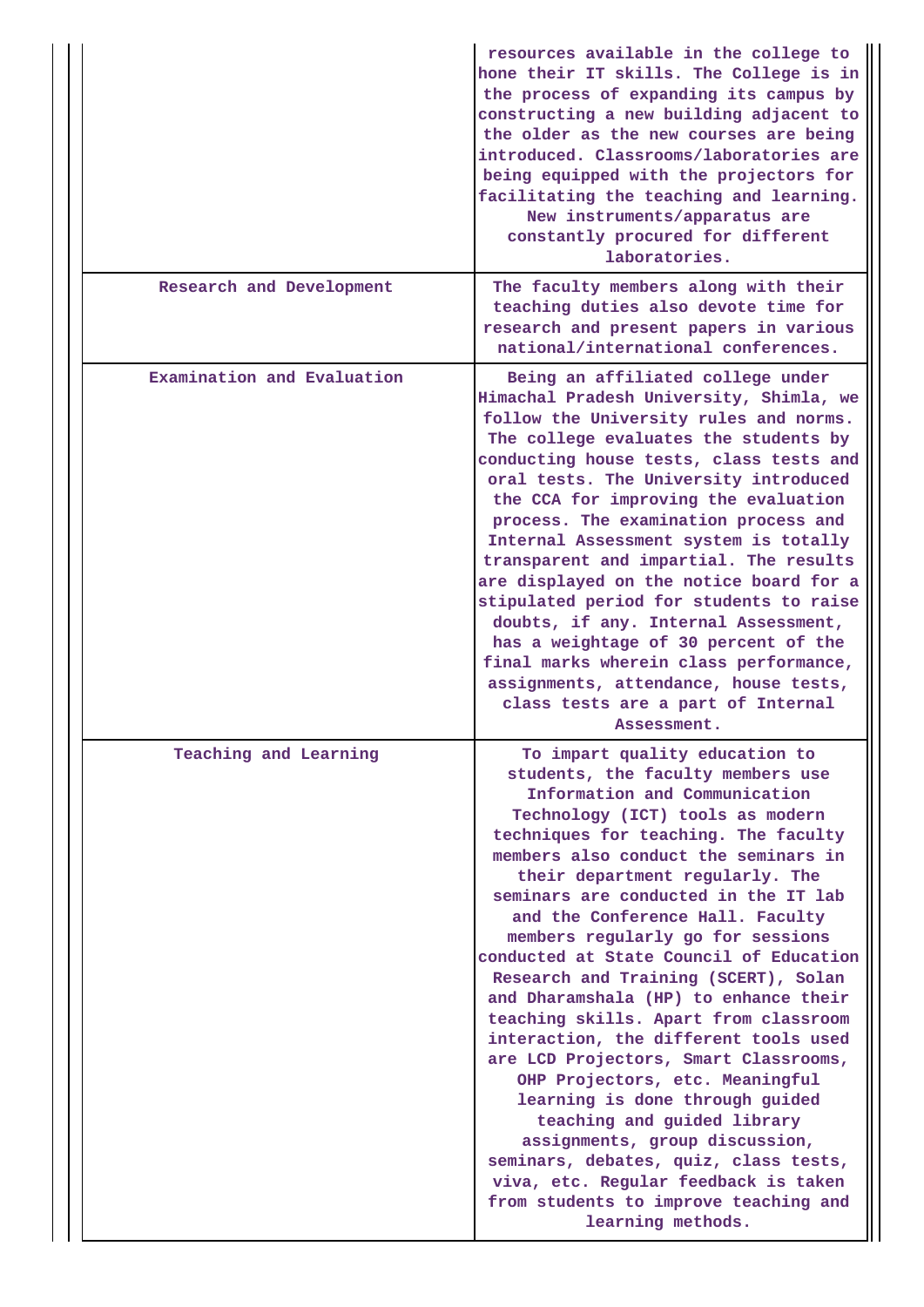|  |                            | resources available in the college to<br>hone their IT skills. The College is in<br>the process of expanding its campus by<br>constructing a new building adjacent to<br>the older as the new courses are being<br>introduced. Classrooms/laboratories are<br>being equipped with the projectors for<br>facilitating the teaching and learning.<br>New instruments/apparatus are<br>constantly procured for different<br>laboratories.                                                                                                                                                                                                                                                                                                                                                                                                                                                                                    |
|--|----------------------------|---------------------------------------------------------------------------------------------------------------------------------------------------------------------------------------------------------------------------------------------------------------------------------------------------------------------------------------------------------------------------------------------------------------------------------------------------------------------------------------------------------------------------------------------------------------------------------------------------------------------------------------------------------------------------------------------------------------------------------------------------------------------------------------------------------------------------------------------------------------------------------------------------------------------------|
|  | Research and Development   | The faculty members along with their<br>teaching duties also devote time for<br>research and present papers in various<br>national/international conferences.                                                                                                                                                                                                                                                                                                                                                                                                                                                                                                                                                                                                                                                                                                                                                             |
|  | Examination and Evaluation | Being an affiliated college under<br>Himachal Pradesh University, Shimla, we<br>follow the University rules and norms.<br>The college evaluates the students by<br>conducting house tests, class tests and<br>oral tests. The University introduced<br>the CCA for improving the evaluation<br>process. The examination process and<br>Internal Assessment system is totally<br>transparent and impartial. The results<br>are displayed on the notice board for a<br>stipulated period for students to raise<br>doubts, if any. Internal Assessment,<br>has a weightage of 30 percent of the<br>final marks wherein class performance,<br>assignments, attendance, house tests,<br>class tests are a part of Internal<br>Assessment.                                                                                                                                                                                      |
|  | Teaching and Learning      | To impart quality education to<br>students, the faculty members use<br>Information and Communication<br>Technology (ICT) tools as modern<br>techniques for teaching. The faculty<br>members also conduct the seminars in<br>their department regularly. The<br>seminars are conducted in the IT lab<br>and the Conference Hall. Faculty<br>members regularly go for sessions<br>conducted at State Council of Education<br>Research and Training (SCERT), Solan<br>and Dharamshala (HP) to enhance their<br>teaching skills. Apart from classroom<br>interaction, the different tools used<br>are LCD Projectors, Smart Classrooms,<br>OHP Projectors, etc. Meaningful<br>learning is done through guided<br>teaching and guided library<br>assignments, group discussion,<br>seminars, debates, quiz, class tests,<br>viva, etc. Regular feedback is taken<br>from students to improve teaching and<br>learning methods. |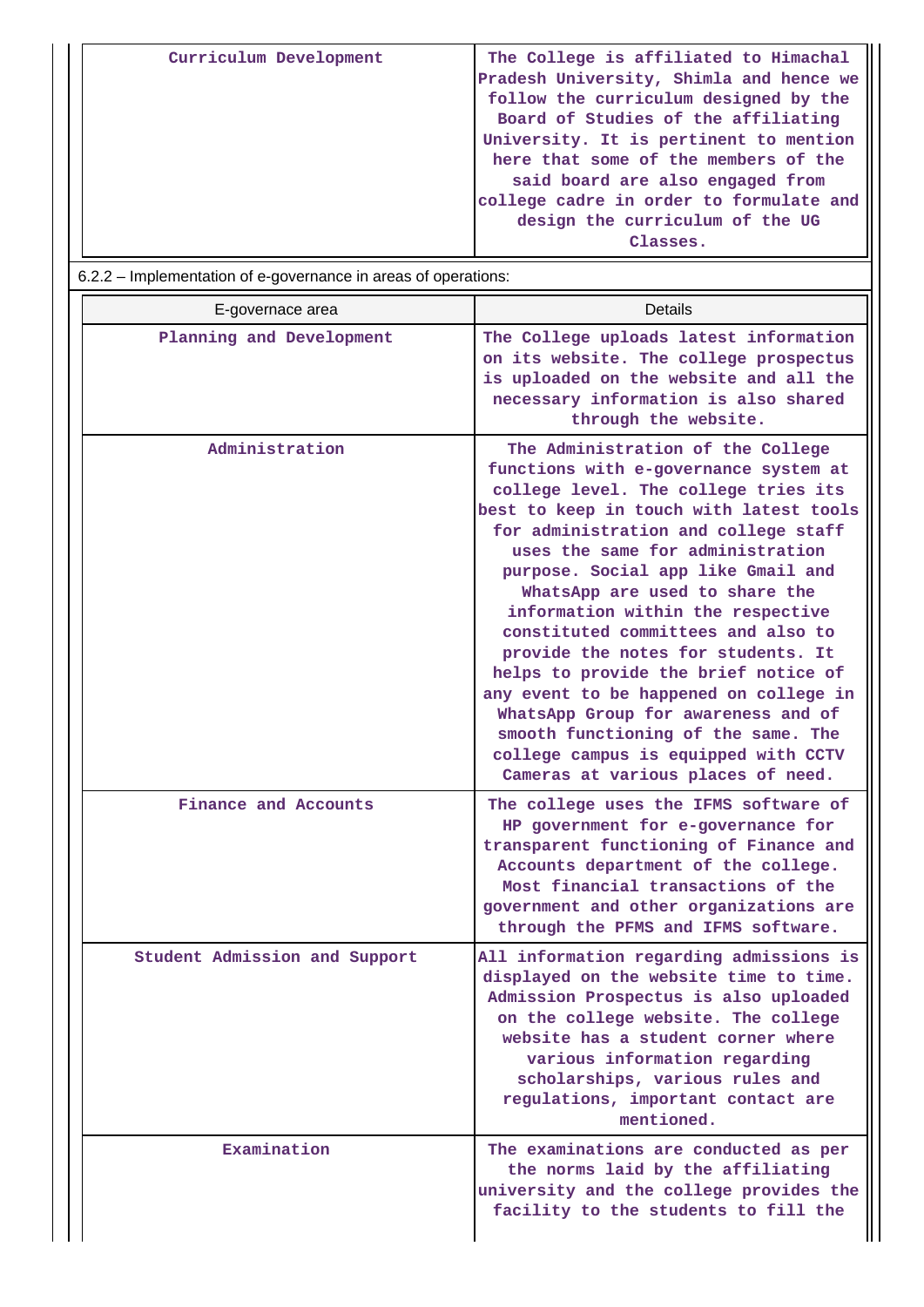| Curriculum Development                                      | The College is affiliated to Himachal   |
|-------------------------------------------------------------|-----------------------------------------|
|                                                             | Pradesh University, Shimla and hence we |
|                                                             | follow the curriculum designed by the   |
|                                                             | Board of Studies of the affiliating     |
|                                                             | University. It is pertinent to mention  |
|                                                             | here that some of the members of the    |
|                                                             | said board are also engaged from        |
|                                                             | college cadre in order to formulate and |
|                                                             | design the curriculum of the UG         |
|                                                             | Classes.                                |
| 622 - Implementation of e-novemance in areas of operations: |                                         |

| E-governace area              | <b>Details</b>                                                                                                                                                                                                                                                                                                                                                                                                                                                                                                                                                                                                                                                                   |
|-------------------------------|----------------------------------------------------------------------------------------------------------------------------------------------------------------------------------------------------------------------------------------------------------------------------------------------------------------------------------------------------------------------------------------------------------------------------------------------------------------------------------------------------------------------------------------------------------------------------------------------------------------------------------------------------------------------------------|
| Planning and Development      | The College uploads latest information<br>on its website. The college prospectus<br>is uploaded on the website and all the<br>necessary information is also shared<br>through the website.                                                                                                                                                                                                                                                                                                                                                                                                                                                                                       |
| Administration                | The Administration of the College<br>functions with e-governance system at<br>college level. The college tries its<br>best to keep in touch with latest tools<br>for administration and college staff<br>uses the same for administration<br>purpose. Social app like Gmail and<br>WhatsApp are used to share the<br>information within the respective<br>constituted committees and also to<br>provide the notes for students. It<br>helps to provide the brief notice of<br>any event to be happened on college in<br>WhatsApp Group for awareness and of<br>smooth functioning of the same. The<br>college campus is equipped with CCTV<br>Cameras at various places of need. |
| Finance and Accounts          | The college uses the IFMS software of<br>HP government for e-governance for<br>transparent functioning of Finance and<br>Accounts department of the college.<br>Most financial transactions of the<br>government and other organizations are<br>through the PFMS and IFMS software.                                                                                                                                                                                                                                                                                                                                                                                              |
| Student Admission and Support | All information regarding admissions is<br>displayed on the website time to time.<br>Admission Prospectus is also uploaded<br>on the college website. The college<br>website has a student corner where<br>various information regarding<br>scholarships, various rules and<br>regulations, important contact are<br>mentioned.                                                                                                                                                                                                                                                                                                                                                  |
| Examination                   | The examinations are conducted as per<br>the norms laid by the affiliating<br>university and the college provides the<br>facility to the students to fill the                                                                                                                                                                                                                                                                                                                                                                                                                                                                                                                    |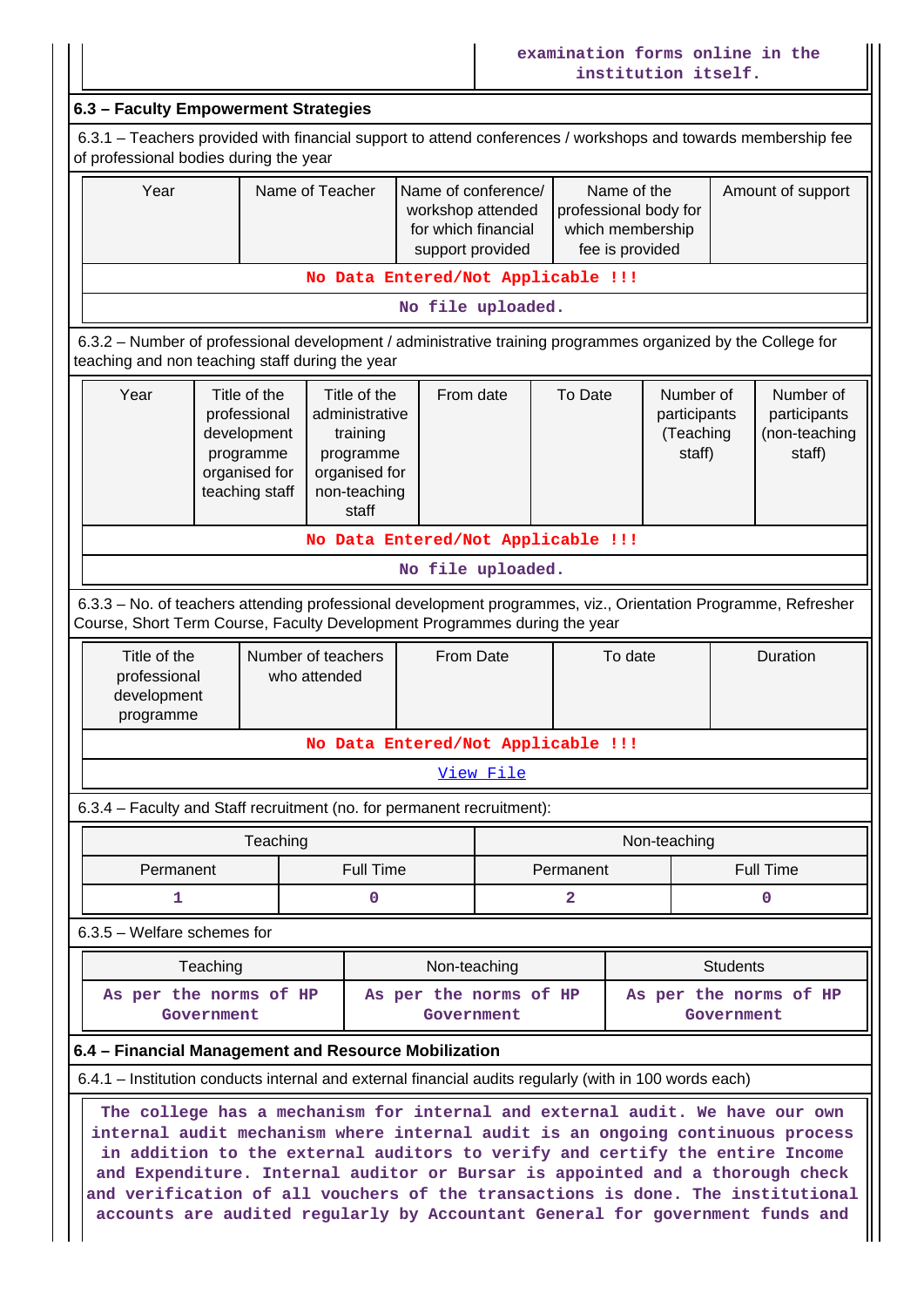|                                                                                                                                                                                                                                                    |                                                                                             |              |                                                                                                   |                   |           |                                                                             | institution itself. |                                                  |  | examination forms online in the                                                                                                                                                                                                               |
|----------------------------------------------------------------------------------------------------------------------------------------------------------------------------------------------------------------------------------------------------|---------------------------------------------------------------------------------------------|--------------|---------------------------------------------------------------------------------------------------|-------------------|-----------|-----------------------------------------------------------------------------|---------------------|--------------------------------------------------|--|-----------------------------------------------------------------------------------------------------------------------------------------------------------------------------------------------------------------------------------------------|
| 6.3 - Faculty Empowerment Strategies                                                                                                                                                                                                               |                                                                                             |              |                                                                                                   |                   |           |                                                                             |                     |                                                  |  |                                                                                                                                                                                                                                               |
| 6.3.1 – Teachers provided with financial support to attend conferences / workshops and towards membership fee<br>of professional bodies during the year                                                                                            |                                                                                             |              |                                                                                                   |                   |           |                                                                             |                     |                                                  |  |                                                                                                                                                                                                                                               |
| Name of Teacher<br>Year                                                                                                                                                                                                                            |                                                                                             |              | Name of conference/<br>workshop attended<br>for which financial<br>support provided               |                   |           | Name of the<br>professional body for<br>which membership<br>fee is provided |                     | Amount of support                                |  |                                                                                                                                                                                                                                               |
| No Data Entered/Not Applicable !!!                                                                                                                                                                                                                 |                                                                                             |              |                                                                                                   |                   |           |                                                                             |                     |                                                  |  |                                                                                                                                                                                                                                               |
|                                                                                                                                                                                                                                                    |                                                                                             |              |                                                                                                   | No file uploaded. |           |                                                                             |                     |                                                  |  |                                                                                                                                                                                                                                               |
| 6.3.2 - Number of professional development / administrative training programmes organized by the College for<br>teaching and non teaching staff during the year                                                                                    |                                                                                             |              |                                                                                                   |                   |           |                                                                             |                     |                                                  |  |                                                                                                                                                                                                                                               |
| Year                                                                                                                                                                                                                                               | Title of the<br>professional<br>development<br>programme<br>organised for<br>teaching staff |              | Title of the<br>administrative<br>training<br>programme<br>organised for<br>non-teaching<br>staff | From date         |           | To Date                                                                     |                     | Number of<br>participants<br>(Teaching<br>staff) |  | Number of<br>participants<br>(non-teaching<br>staff)                                                                                                                                                                                          |
|                                                                                                                                                                                                                                                    |                                                                                             |              | No Data Entered/Not Applicable !!!                                                                |                   |           |                                                                             |                     |                                                  |  |                                                                                                                                                                                                                                               |
|                                                                                                                                                                                                                                                    |                                                                                             |              |                                                                                                   | No file uploaded. |           |                                                                             |                     |                                                  |  |                                                                                                                                                                                                                                               |
| 6.3.3 - No. of teachers attending professional development programmes, viz., Orientation Programme, Refresher<br>Course, Short Term Course, Faculty Development Programmes during the year                                                         |                                                                                             |              |                                                                                                   |                   |           |                                                                             |                     |                                                  |  |                                                                                                                                                                                                                                               |
| Title of the<br>professional<br>development<br>programme                                                                                                                                                                                           |                                                                                             | who attended | Number of teachers                                                                                | From Date         |           |                                                                             | To date             |                                                  |  | Duration                                                                                                                                                                                                                                      |
|                                                                                                                                                                                                                                                    |                                                                                             |              | No Data Entered/Not Applicable !!!                                                                |                   |           |                                                                             |                     |                                                  |  |                                                                                                                                                                                                                                               |
|                                                                                                                                                                                                                                                    |                                                                                             |              |                                                                                                   |                   | View File |                                                                             |                     |                                                  |  |                                                                                                                                                                                                                                               |
| 6.3.4 - Faculty and Staff recruitment (no. for permanent recruitment):                                                                                                                                                                             |                                                                                             |              |                                                                                                   |                   |           |                                                                             |                     |                                                  |  |                                                                                                                                                                                                                                               |
|                                                                                                                                                                                                                                                    |                                                                                             | Teaching     |                                                                                                   |                   |           |                                                                             | Non-teaching        |                                                  |  |                                                                                                                                                                                                                                               |
| Permanent                                                                                                                                                                                                                                          |                                                                                             |              | <b>Full Time</b>                                                                                  |                   |           | Permanent                                                                   |                     |                                                  |  | <b>Full Time</b>                                                                                                                                                                                                                              |
| 1                                                                                                                                                                                                                                                  |                                                                                             |              | 0                                                                                                 |                   |           | 2                                                                           |                     |                                                  |  | 0                                                                                                                                                                                                                                             |
| $6.3.5$ – Welfare schemes for                                                                                                                                                                                                                      |                                                                                             |              |                                                                                                   |                   |           |                                                                             |                     |                                                  |  |                                                                                                                                                                                                                                               |
| Teaching<br>Non-teaching<br><b>Students</b>                                                                                                                                                                                                        |                                                                                             |              |                                                                                                   |                   |           |                                                                             |                     |                                                  |  |                                                                                                                                                                                                                                               |
| As per the norms of HP<br>As per the norms of HP<br>As per the norms of HP<br>Government<br>Government<br>Government                                                                                                                               |                                                                                             |              |                                                                                                   |                   |           |                                                                             |                     |                                                  |  |                                                                                                                                                                                                                                               |
| 6.4 - Financial Management and Resource Mobilization                                                                                                                                                                                               |                                                                                             |              |                                                                                                   |                   |           |                                                                             |                     |                                                  |  |                                                                                                                                                                                                                                               |
| 6.4.1 – Institution conducts internal and external financial audits regularly (with in 100 words each)                                                                                                                                             |                                                                                             |              |                                                                                                   |                   |           |                                                                             |                     |                                                  |  |                                                                                                                                                                                                                                               |
| internal audit mechanism where internal audit is an ongoing continuous process<br>and Expenditure. Internal auditor or Bursar is appointed and a thorough check<br>and verification of all vouchers of the transactions is done. The institutional |                                                                                             |              |                                                                                                   |                   |           |                                                                             |                     |                                                  |  | The college has a mechanism for internal and external audit. We have our own<br>in addition to the external auditors to verify and certify the entire Income<br>accounts are audited regularly by Accountant General for government funds and |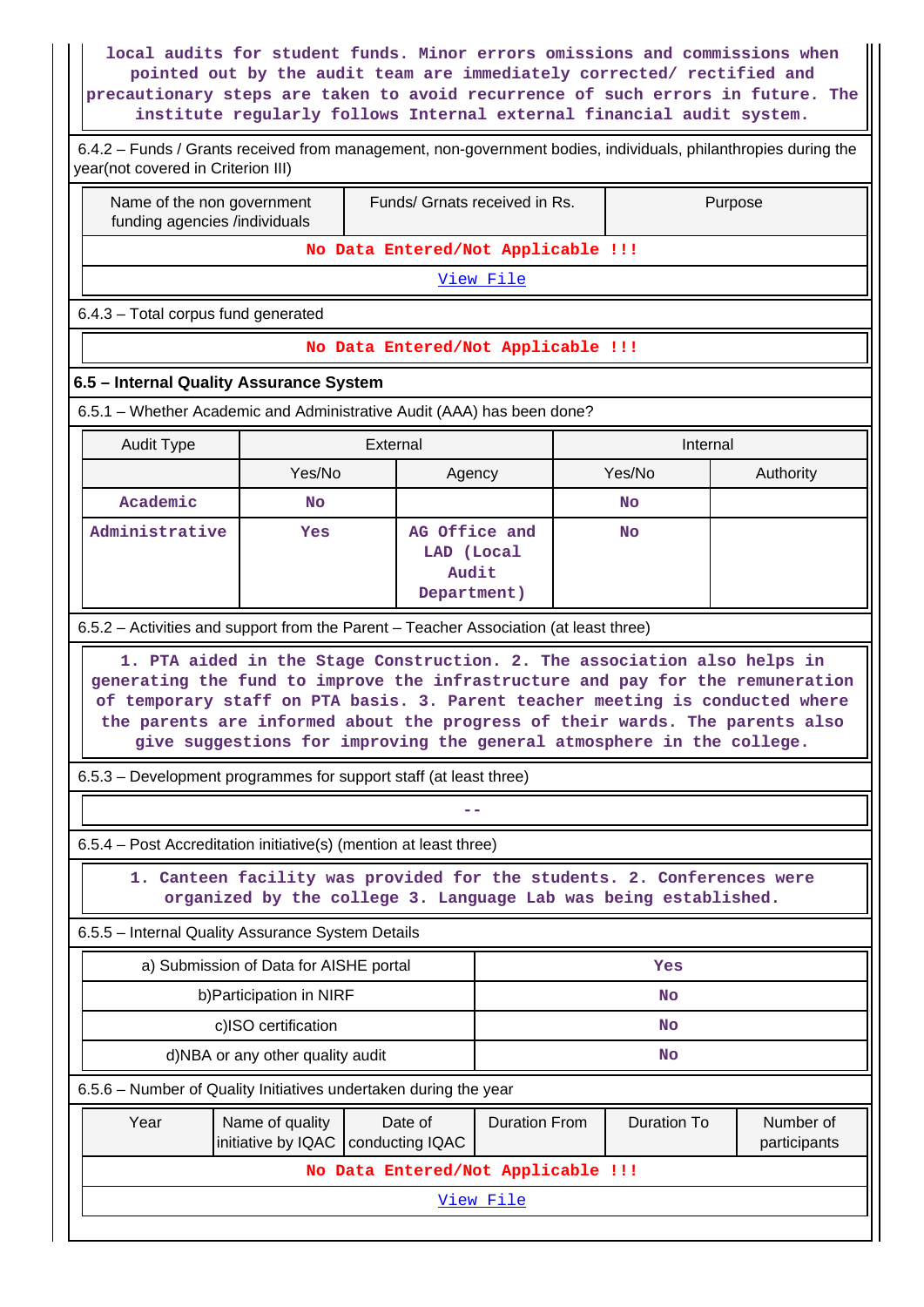**local audits for student funds. Minor errors omissions and commissions when pointed out by the audit team are immediately corrected/ rectified and precautionary steps are taken to avoid recurrence of such errors in future. The institute regularly follows Internal external financial audit system.**

| 6.4.2 - Funds / Grants received from management, non-government bodies, individuals, philanthropies during the<br>year(not covered in Criterion III)                                                                                                                                                                     |                                                                                                                                           |          |                      |                    |                           |  |  |  |
|--------------------------------------------------------------------------------------------------------------------------------------------------------------------------------------------------------------------------------------------------------------------------------------------------------------------------|-------------------------------------------------------------------------------------------------------------------------------------------|----------|----------------------|--------------------|---------------------------|--|--|--|
| Name of the non government<br>funding agencies /individuals                                                                                                                                                                                                                                                              | Funds/ Grnats received in Rs.                                                                                                             |          | Purpose              |                    |                           |  |  |  |
|                                                                                                                                                                                                                                                                                                                          | No Data Entered/Not Applicable !!!                                                                                                        |          |                      |                    |                           |  |  |  |
|                                                                                                                                                                                                                                                                                                                          |                                                                                                                                           |          | View File            |                    |                           |  |  |  |
| 6.4.3 - Total corpus fund generated                                                                                                                                                                                                                                                                                      |                                                                                                                                           |          |                      |                    |                           |  |  |  |
|                                                                                                                                                                                                                                                                                                                          | No Data Entered/Not Applicable !!!                                                                                                        |          |                      |                    |                           |  |  |  |
| 6.5 - Internal Quality Assurance System                                                                                                                                                                                                                                                                                  |                                                                                                                                           |          |                      |                    |                           |  |  |  |
| 6.5.1 - Whether Academic and Administrative Audit (AAA) has been done?                                                                                                                                                                                                                                                   |                                                                                                                                           |          |                      |                    |                           |  |  |  |
| <b>Audit Type</b>                                                                                                                                                                                                                                                                                                        |                                                                                                                                           | External |                      | Internal           |                           |  |  |  |
|                                                                                                                                                                                                                                                                                                                          | Yes/No                                                                                                                                    | Agency   |                      | Yes/No             | Authority                 |  |  |  |
| Academic                                                                                                                                                                                                                                                                                                                 | No                                                                                                                                        |          |                      | <b>No</b>          |                           |  |  |  |
| Administrative                                                                                                                                                                                                                                                                                                           | AG Office and<br>Yes<br>LAD (Local<br>Audit<br>Department)                                                                                |          |                      | <b>No</b>          |                           |  |  |  |
| 6.5.2 - Activities and support from the Parent - Teacher Association (at least three)                                                                                                                                                                                                                                    |                                                                                                                                           |          |                      |                    |                           |  |  |  |
| generating the fund to improve the infrastructure and pay for the remuneration<br>of temporary staff on PTA basis. 3. Parent teacher meeting is conducted where<br>the parents are informed about the progress of their wards. The parents also<br>give suggestions for improving the general atmosphere in the college. |                                                                                                                                           |          |                      |                    |                           |  |  |  |
| 6.5.3 – Development programmes for support staff (at least three)                                                                                                                                                                                                                                                        |                                                                                                                                           |          |                      |                    |                           |  |  |  |
|                                                                                                                                                                                                                                                                                                                          |                                                                                                                                           |          |                      |                    |                           |  |  |  |
| 6.5.4 – Post Accreditation initiative(s) (mention at least three)                                                                                                                                                                                                                                                        |                                                                                                                                           |          |                      |                    |                           |  |  |  |
|                                                                                                                                                                                                                                                                                                                          | 1. Canteen facility was provided for the students. 2. Conferences were<br>organized by the college 3. Language Lab was being established. |          |                      |                    |                           |  |  |  |
| 6.5.5 - Internal Quality Assurance System Details                                                                                                                                                                                                                                                                        |                                                                                                                                           |          |                      |                    |                           |  |  |  |
|                                                                                                                                                                                                                                                                                                                          | a) Submission of Data for AISHE portal                                                                                                    |          |                      | Yes                |                           |  |  |  |
|                                                                                                                                                                                                                                                                                                                          | b) Participation in NIRF                                                                                                                  |          |                      | No                 |                           |  |  |  |
|                                                                                                                                                                                                                                                                                                                          | c)ISO certification<br>No                                                                                                                 |          |                      |                    |                           |  |  |  |
| d)NBA or any other quality audit<br>No                                                                                                                                                                                                                                                                                   |                                                                                                                                           |          |                      |                    |                           |  |  |  |
| 6.5.6 - Number of Quality Initiatives undertaken during the year                                                                                                                                                                                                                                                         |                                                                                                                                           |          |                      |                    |                           |  |  |  |
| Year<br>Date of<br>Name of quality<br>initiative by IQAC<br>conducting IQAC                                                                                                                                                                                                                                              |                                                                                                                                           |          | <b>Duration From</b> | <b>Duration To</b> | Number of<br>participants |  |  |  |
| No Data Entered/Not Applicable !!!                                                                                                                                                                                                                                                                                       |                                                                                                                                           |          |                      |                    |                           |  |  |  |
|                                                                                                                                                                                                                                                                                                                          | View File                                                                                                                                 |          |                      |                    |                           |  |  |  |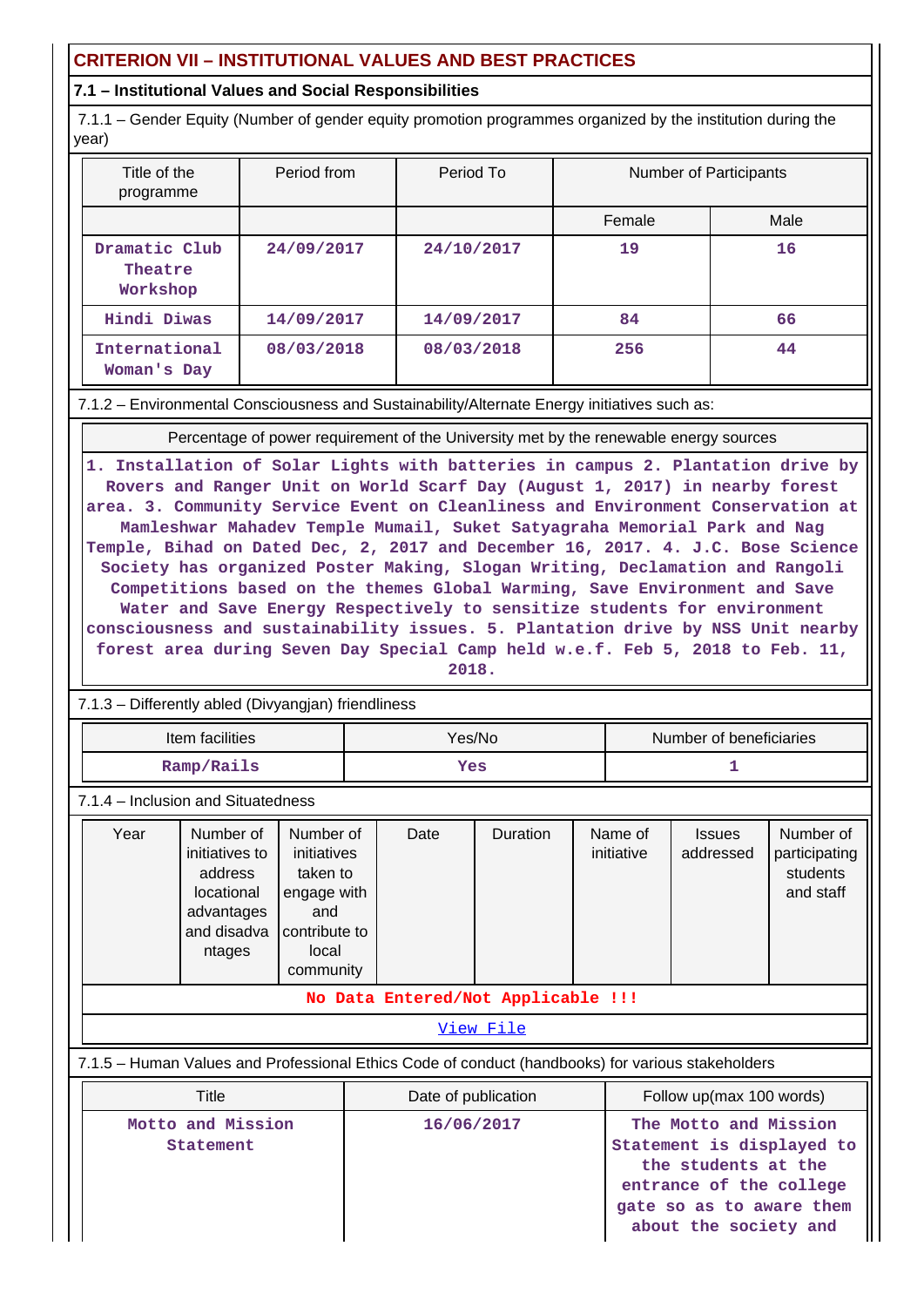# **CRITERION VII – INSTITUTIONAL VALUES AND BEST PRACTICES**

# **7.1 – Institutional Values and Social Responsibilities**

 7.1.1 – Gender Equity (Number of gender equity promotion programmes organized by the institution during the year)

| Title of the<br>programme            | Period from | Period To  | Number of Participants |      |
|--------------------------------------|-------------|------------|------------------------|------|
|                                      |             |            | Female                 | Male |
| Dramatic Club<br>Theatre<br>Workshop | 24/09/2017  | 24/10/2017 | 19                     | 16   |
| Hindi Diwas                          | 14/09/2017  | 14/09/2017 | 84                     | 66   |
| International<br>Woman's Day         | 08/03/2018  | 08/03/2018 | 256                    | 44   |

7.1.2 – Environmental Consciousness and Sustainability/Alternate Energy initiatives such as:

Percentage of power requirement of the University met by the renewable energy sources

**1. Installation of Solar Lights with batteries in campus 2. Plantation drive by Rovers and Ranger Unit on World Scarf Day (August 1, 2017) in nearby forest area. 3. Community Service Event on Cleanliness and Environment Conservation at Mamleshwar Mahadev Temple Mumail, Suket Satyagraha Memorial Park and Nag Temple, Bihad on Dated Dec, 2, 2017 and December 16, 2017. 4. J.C. Bose Science Society has organized Poster Making, Slogan Writing, Declamation and Rangoli Competitions based on the themes Global Warming, Save Environment and Save Water and Save Energy Respectively to sensitize students for environment consciousness and sustainability issues. 5. Plantation drive by NSS Unit nearby forest area during Seven Day Special Camp held w.e.f. Feb 5, 2018 to Feb. 11, 2018.**

7.1.3 – Differently abled (Divyangjan) friendliness

| $1.1.5 - 1.0$ mererity abled (Divyanglari) menumess                                                                                                                                                      |  |  |                                           |  |  |                                                                                   |  |  |
|----------------------------------------------------------------------------------------------------------------------------------------------------------------------------------------------------------|--|--|-------------------------------------------|--|--|-----------------------------------------------------------------------------------|--|--|
| Item facilities                                                                                                                                                                                          |  |  | Yes/No                                    |  |  | Number of beneficiaries                                                           |  |  |
| Ramp/Rails                                                                                                                                                                                               |  |  | <b>Yes</b>                                |  |  |                                                                                   |  |  |
| 7.1.4 – Inclusion and Situatedness                                                                                                                                                                       |  |  |                                           |  |  |                                                                                   |  |  |
| Year<br>Number of<br>Number of<br>initiatives to<br>initiatives<br>address<br>taken to<br>engage with<br>locational<br>advantages<br>and<br>and disadva<br>contribute to<br>local<br>ntages<br>community |  |  | Duration<br>Name of<br>Date<br>initiative |  |  | Number of<br><b>Issues</b><br>participating<br>addressed<br>students<br>and staff |  |  |
| No Data Entered/Not Applicable !!!                                                                                                                                                                       |  |  |                                           |  |  |                                                                                   |  |  |
| View File                                                                                                                                                                                                |  |  |                                           |  |  |                                                                                   |  |  |
| The concentration of a contract contract the $\bigcap_{i=1}^n A_i$ of the collection of $A_i$ and $A_i$ are concentrated the contract of $A_i$                                                           |  |  |                                           |  |  |                                                                                   |  |  |

7.1.5 – Human Values and Professional Ethics Code of conduct (handbooks) for various stakeholders

| Title             | Date of publication | Follow up(max 100 words)                          |
|-------------------|---------------------|---------------------------------------------------|
| Motto and Mission | 16/06/2017          | The Motto and Mission                             |
| Statement         |                     | Statement is displayed to<br>the students at the  |
|                   |                     | entrance of the college                           |
|                   |                     | gate so as to aware them<br>about the society and |
|                   |                     |                                                   |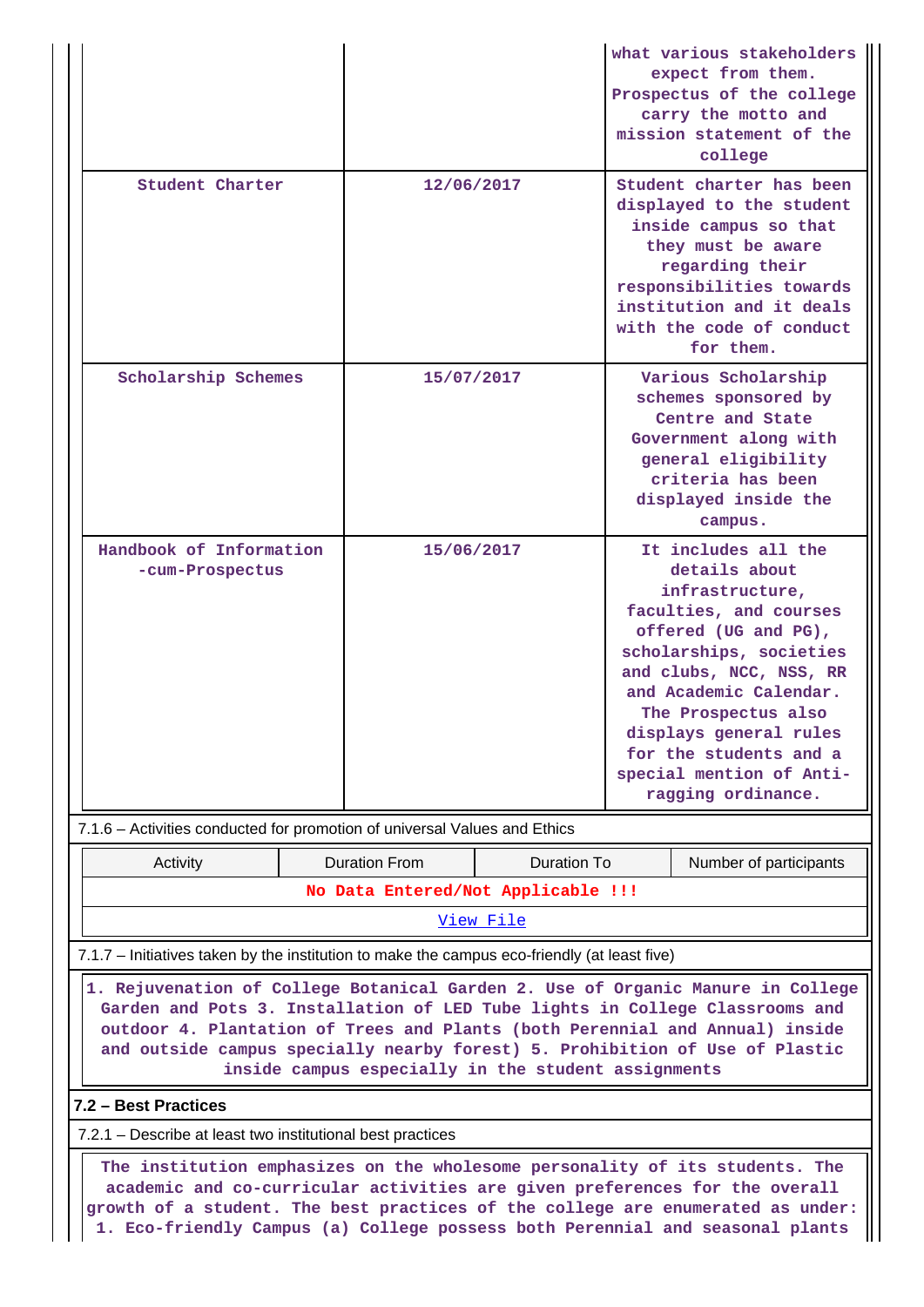|                                                                                                                                                                                                                                                                                                                                                                                        |  |                                    |                    |                                                                                                                                                                                                                                                                                                                        | what various stakeholders<br>expect from them.<br>Prospectus of the college<br>carry the motto and<br>mission statement of the<br>college |  |  |
|----------------------------------------------------------------------------------------------------------------------------------------------------------------------------------------------------------------------------------------------------------------------------------------------------------------------------------------------------------------------------------------|--|------------------------------------|--------------------|------------------------------------------------------------------------------------------------------------------------------------------------------------------------------------------------------------------------------------------------------------------------------------------------------------------------|-------------------------------------------------------------------------------------------------------------------------------------------|--|--|
| Student Charter                                                                                                                                                                                                                                                                                                                                                                        |  | 12/06/2017                         |                    | Student charter has been<br>displayed to the student<br>inside campus so that<br>they must be aware<br>regarding their<br>responsibilities towards<br>institution and it deals<br>with the code of conduct<br>for them.                                                                                                |                                                                                                                                           |  |  |
| Scholarship Schemes                                                                                                                                                                                                                                                                                                                                                                    |  | 15/07/2017                         |                    | Various Scholarship<br>schemes sponsored by<br>Centre and State<br>Government along with<br>general eligibility<br>criteria has been<br>displayed inside the<br>campus.                                                                                                                                                |                                                                                                                                           |  |  |
| Handbook of Information<br>-cum-Prospectus                                                                                                                                                                                                                                                                                                                                             |  | 15/06/2017                         |                    | It includes all the<br>details about<br>infrastructure,<br>faculties, and courses<br>offered (UG and PG),<br>scholarships, societies<br>and clubs, NCC, NSS, RR<br>and Academic Calendar.<br>The Prospectus also<br>displays general rules<br>for the students and a<br>special mention of Anti-<br>ragging ordinance. |                                                                                                                                           |  |  |
| 7.1.6 - Activities conducted for promotion of universal Values and Ethics                                                                                                                                                                                                                                                                                                              |  |                                    |                    |                                                                                                                                                                                                                                                                                                                        |                                                                                                                                           |  |  |
| Activity                                                                                                                                                                                                                                                                                                                                                                               |  | <b>Duration From</b>               | <b>Duration To</b> |                                                                                                                                                                                                                                                                                                                        | Number of participants                                                                                                                    |  |  |
|                                                                                                                                                                                                                                                                                                                                                                                        |  | No Data Entered/Not Applicable !!! |                    |                                                                                                                                                                                                                                                                                                                        |                                                                                                                                           |  |  |
|                                                                                                                                                                                                                                                                                                                                                                                        |  |                                    | <u>View File</u>   |                                                                                                                                                                                                                                                                                                                        |                                                                                                                                           |  |  |
| 7.1.7 - Initiatives taken by the institution to make the campus eco-friendly (at least five)                                                                                                                                                                                                                                                                                           |  |                                    |                    |                                                                                                                                                                                                                                                                                                                        |                                                                                                                                           |  |  |
| 1. Rejuvenation of College Botanical Garden 2. Use of Organic Manure in College<br>Garden and Pots 3. Installation of LED Tube lights in College Classrooms and<br>outdoor 4. Plantation of Trees and Plants (both Perennial and Annual) inside<br>and outside campus specially nearby forest) 5. Prohibition of Use of Plastic<br>inside campus especially in the student assignments |  |                                    |                    |                                                                                                                                                                                                                                                                                                                        |                                                                                                                                           |  |  |
| 7.2 - Best Practices                                                                                                                                                                                                                                                                                                                                                                   |  |                                    |                    |                                                                                                                                                                                                                                                                                                                        |                                                                                                                                           |  |  |
| 7.2.1 – Describe at least two institutional best practices                                                                                                                                                                                                                                                                                                                             |  |                                    |                    |                                                                                                                                                                                                                                                                                                                        |                                                                                                                                           |  |  |
| The institution emphasizes on the wholesome personality of its students. The<br>academic and co-curricular activities are given preferences for the overall<br>growth of a student. The best practices of the college are enumerated as under:                                                                                                                                         |  |                                    |                    |                                                                                                                                                                                                                                                                                                                        |                                                                                                                                           |  |  |

**1. Eco-friendly Campus (a) College possess both Perennial and seasonal plants**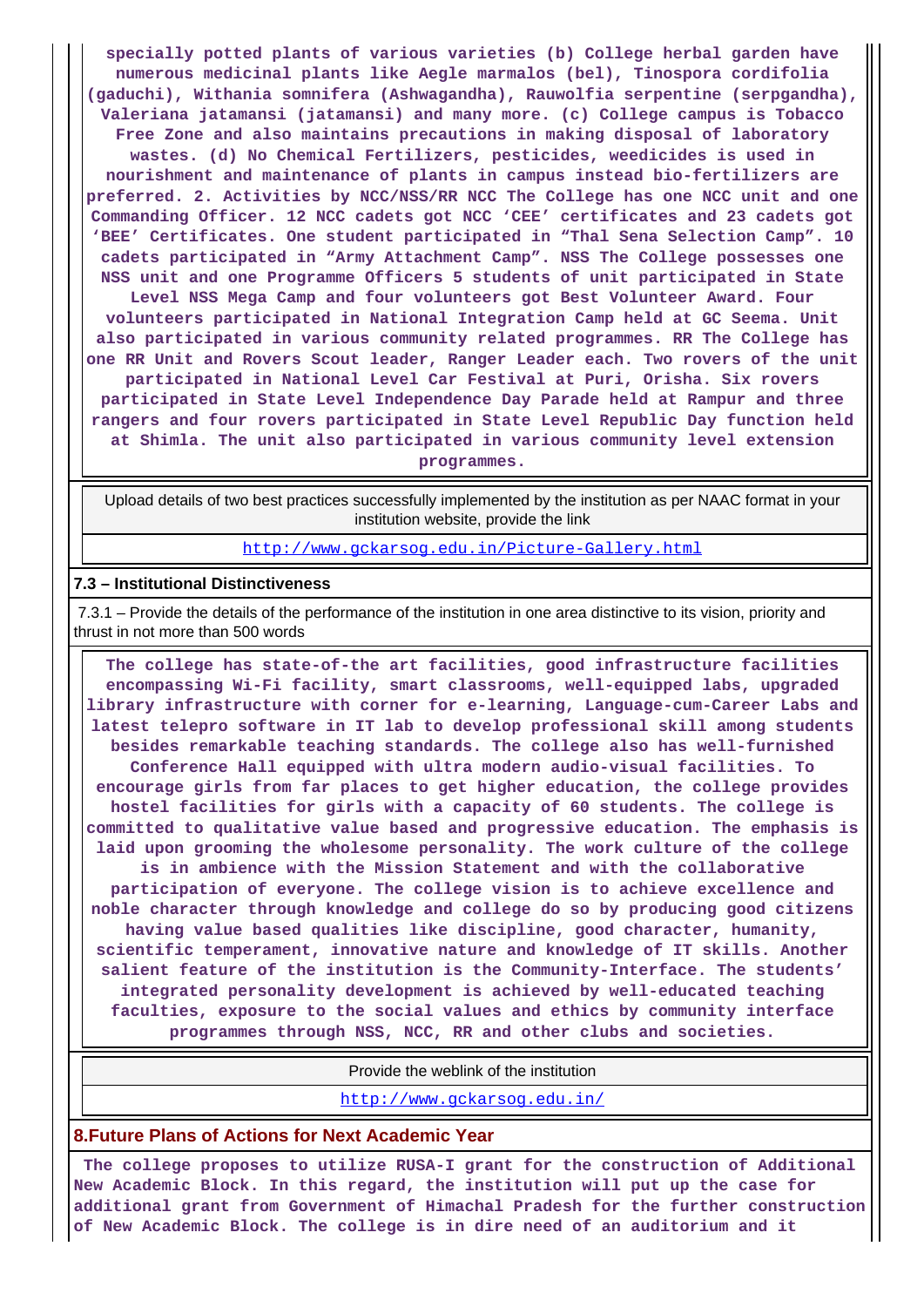**specially potted plants of various varieties (b) College herbal garden have numerous medicinal plants like Aegle marmalos (bel), Tinospora cordifolia (gaduchi), Withania somnifera (Ashwagandha), Rauwolfia serpentine (serpgandha), Valeriana jatamansi (jatamansi) and many more. (c) College campus is Tobacco Free Zone and also maintains precautions in making disposal of laboratory wastes. (d) No Chemical Fertilizers, pesticides, weedicides is used in nourishment and maintenance of plants in campus instead bio-fertilizers are preferred. 2. Activities by NCC/NSS/RR NCC The College has one NCC unit and one Commanding Officer. 12 NCC cadets got NCC 'CEE' certificates and 23 cadets got 'BEE' Certificates. One student participated in "Thal Sena Selection Camp". 10 cadets participated in "Army Attachment Camp". NSS The College possesses one NSS unit and one Programme Officers 5 students of unit participated in State Level NSS Mega Camp and four volunteers got Best Volunteer Award. Four volunteers participated in National Integration Camp held at GC Seema. Unit also participated in various community related programmes. RR The College has one RR Unit and Rovers Scout leader, Ranger Leader each. Two rovers of the unit participated in National Level Car Festival at Puri, Orisha. Six rovers participated in State Level Independence Day Parade held at Rampur and three rangers and four rovers participated in State Level Republic Day function held at Shimla. The unit also participated in various community level extension programmes.**

 Upload details of two best practices successfully implemented by the institution as per NAAC format in your institution website, provide the link

<http://www.gckarsog.edu.in/Picture-Gallery.html>

#### **7.3 – Institutional Distinctiveness**

 7.3.1 – Provide the details of the performance of the institution in one area distinctive to its vision, priority and thrust in not more than 500 words

 **The college has state-of-the art facilities, good infrastructure facilities encompassing Wi-Fi facility, smart classrooms, well-equipped labs, upgraded library infrastructure with corner for e-learning, Language-cum-Career Labs and latest telepro software in IT lab to develop professional skill among students besides remarkable teaching standards. The college also has well-furnished Conference Hall equipped with ultra modern audio-visual facilities. To encourage girls from far places to get higher education, the college provides hostel facilities for girls with a capacity of 60 students. The college is committed to qualitative value based and progressive education. The emphasis is laid upon grooming the wholesome personality. The work culture of the college is in ambience with the Mission Statement and with the collaborative participation of everyone. The college vision is to achieve excellence and noble character through knowledge and college do so by producing good citizens having value based qualities like discipline, good character, humanity, scientific temperament, innovative nature and knowledge of IT skills. Another salient feature of the institution is the Community-Interface. The students' integrated personality development is achieved by well-educated teaching faculties, exposure to the social values and ethics by community interface programmes through NSS, NCC, RR and other clubs and societies.**

Provide the weblink of the institution

<http://www.gckarsog.edu.in/>

#### **8.Future Plans of Actions for Next Academic Year**

 **The college proposes to utilize RUSA-I grant for the construction of Additional New Academic Block. In this regard, the institution will put up the case for additional grant from Government of Himachal Pradesh for the further construction of New Academic Block. The college is in dire need of an auditorium and it**